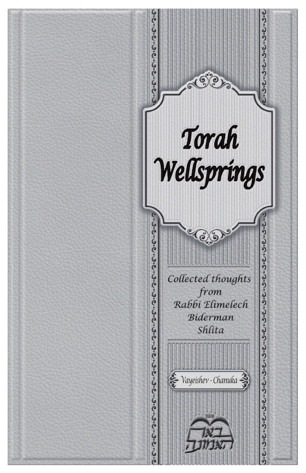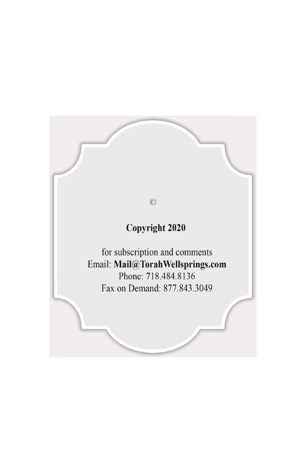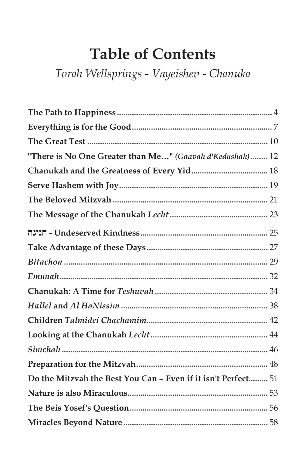# **Table of Contents**

Torah Wellsprings - Vayeishev - Chanuka

| "There is No One Greater than Me" (Gaavah d'Kedushah) 12      |  |
|---------------------------------------------------------------|--|
|                                                               |  |
|                                                               |  |
|                                                               |  |
|                                                               |  |
|                                                               |  |
|                                                               |  |
|                                                               |  |
|                                                               |  |
|                                                               |  |
|                                                               |  |
|                                                               |  |
|                                                               |  |
|                                                               |  |
|                                                               |  |
| Do the Mitzvah the Best You Can - Even if it isn't Perfect 51 |  |
|                                                               |  |
|                                                               |  |
|                                                               |  |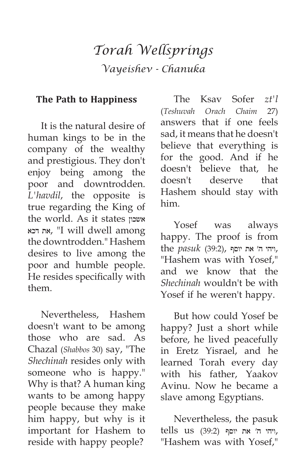## *Torah Wellsprings Vayeishev - Chanuka*

#### **The Path to Happiness**

It is the natural desire of human kings to be in the company of the wealthy and prestigious. They don't enjoy being among the poor and downtrodden. *L'havdil*, the opposite is true regarding the King of the world. As it states אשכון דכא את," I will dwell among the downtrodden." Hashem desires to live among the poor and humble people. He resides specifically with them.

Nevertheless, Hashem doesn't want to be among those who are sad. As Chazal (*Shabbos* 30) say, "The *Shechinah* resides only with someone who is happy." Why is that? A human king wants to be among happy people because they make him happy, but why is it important for Hashem to reside with happy people?

The Ksav Sofer *zt'l* (*Teshuvah Orach Chaim* 27) answers that if one feels sad, it means that he doesn't believe that everything is for the good. And if he doesn't believe that, he doesn't deserve that Hashem should stay with him.

Yosef was always happy. The proof is from ,ויהי ה׳ את יוסף ,(39:2) *pasuk* the "Hashem was with Yosef," and we know that the *Shechinah* wouldn't be with Yosef if he weren't happy.

But how could Yosef be happy? Just a short while before, he lived peacefully in Eretz Yisrael, and he learned Torah every day with his father, Yaakov Avinu. Now he became a slave among Egyptians.

Nevertheless, the pasuk  $tells$  us (39:2) ויהי ה׳ את יוסף "Hashem was with Yosef,"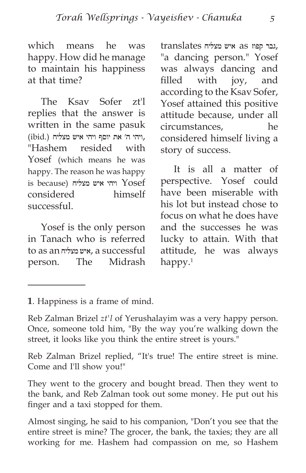which means he was happy. How did he manage to maintain his happiness at that time?

The Ksav Sofer zt'l replies that the answer is written in the same pasuk ,ויהי ה׳ את יוסף ויהי איש מצליח (.ibid( "Hashem resided with Yosef (which means he was happy. The reason he was happy is because) ויהי איש מצליח ( $Y$ OSef considered himself successful.

Yosef is the only person in Tanach who is referred to as an מצליח איש, a successful person. The Midrash  ,גבר קפוז as איש מצליח translates "a dancing person." Yosef was always dancing and filled with joy, and according to the Ksav Sofer, Yosef attained this positive attitude because, under all circumstances, he considered himself living a story of success.

It is all a matter of perspective. Yosef could have been miserable with his lot but instead chose to focus on what he does have and the successes he was lucky to attain. With that attitude, he was always happy. $1$ 

Reb Zalman Brizel replied, "It's true! The entire street is mine. Come and I'll show you!"

They went to the grocery and bought bread. Then they went to the bank, and Reb Zalman took out some money. He put out his finger and a taxi stopped for them.

Almost singing, he said to his companion, "Don't you see that the entire street is mine? The grocer, the bank, the taxies; they are all working for me. Hashem had compassion on me, so Hashem

**<sup>1</sup>**. Happiness is a frame of mind.

Reb Zalman Brizel *zt'l* of Yerushalayim was a very happy person. Once, someone told him, "By the way you're walking down the street, it looks like you think the entire street is yours."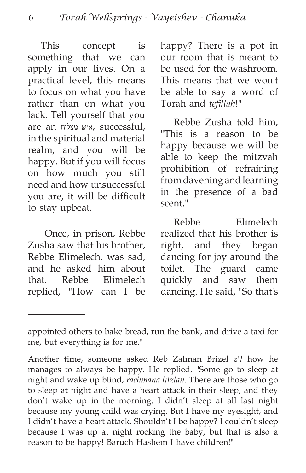This concept is something that we can apply in our lives. On a practical level, this means to focus on what you have rather than on what you lack. Tell yourself that you are an מצליח איש, successful, in the spiritual and material realm, and you will be happy. But if you will focus on how much you still need and how unsuccessful you are, it will be difficult to stay upbeat.

 Once, in prison, Rebbe Zusha saw that his brother, Rebbe Elimelech, was sad, and he asked him about that. Rebbe Elimelech replied, "How can I be happy? There is a pot in our room that is meant to be used for the washroom. This means that we won't be able to say a word of Torah and *tefillah*!"

Rebbe Zusha told him, "This is a reason to be happy because we will be able to keep the mitzvah prohibition of refraining from davening and learning in the presence of a bad scent."

Rebbe Elimelech realized that his brother is right, and they began dancing for joy around the toilet. The guard came quickly and saw them dancing. He said, "So that's

appointed others to bake bread, run the bank, and drive a taxi for me, but everything is for me."

Another time, someone asked Reb Zalman Brizel *z'l* how he manages to always be happy. He replied, "Some go to sleep at night and wake up blind, *rachmana litzlan*. There are those who go to sleep at night and have a heart attack in their sleep, and they don't wake up in the morning. I didn't sleep at all last night because my young child was crying. But I have my eyesight, and I didn't have a heart attack. Shouldn't I be happy? I couldn't sleep because I was up at night rocking the baby, but that is also a reason to be happy! Baruch Hashem I have children!"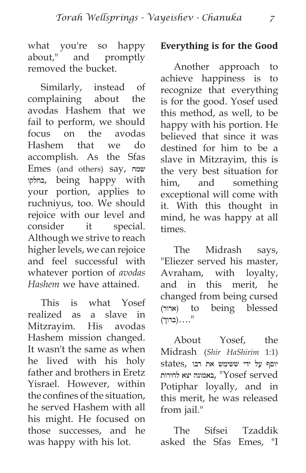what you're so happy about," and promptly removed the bucket.

Similarly, instead of complaining about the avodas Hashem that we fail to perform, we should focus on the avodas Hashem that we do accomplish. As the Sfas Emes (and others) say, שמח בחלקו, being happy with your portion, applies to ruchniyus, too. We should rejoice with our level and consider it special. Although we strive to reach higher levels, we can rejoice and feel successful with whatever portion of *avodas Hashem* we have attained.

This is what Yosef realized as a slave in Mitzrayim. His avodas Hashem mission changed. It wasn't the same as when he lived with his holy father and brothers in Eretz Yisrael. However, within the confines of the situation, he served Hashem with all his might. He focused on those successes, and he was happy with his lot.

#### **Everything is for the Good**

Another approach to achieve happiness is to recognize that everything is for the good. Yosef used this method, as well, to be happy with his portion. He believed that since it was destined for him to be a slave in Mitzrayim, this is the very best situation for him, and something exceptional will come with it. With this thought in mind, he was happy at all times.

The Midrash says, "Eliezer served his master, Avraham, with loyalty, and in this merit, he changed from being cursed (ארור) to being blessed "....(ברוך)

About Yosef, the Midrash (*Shir HaShirim* 1:1) יוסף על ידי ששימש את רבו ,states served Yosef ",באמונה יצא לחירות Potiphar loyally, and in this merit, he was released from jail."

The Sifsei Tzaddik asked the Sfas Emes, "I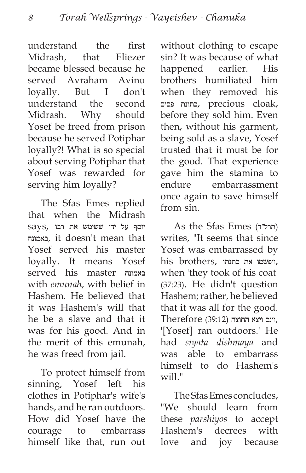understand the first Midrash, that Eliezer became blessed because he served Avraham Avinu loyally. But I don't understand the second Midrash. Why should Yosef be freed from prison because he served Potiphar loyally?! What is so special about serving Potiphar that Yosef was rewarded for serving him loyally?

The Sfas Emes replied that when the Midrash יוסף על ידי ששימש את רבו ,says באמונה, it doesn't mean that Yosef served his master loyally. It means Yosef served his master באמונה with *emunah*, with belief in Hashem. He believed that it was Hashem's will that he be a slave and that it was for his good. And in the merit of this emunah, he was freed from jail.

To protect himself from sinning, Yosef left his clothes in Potiphar's wife's hands, and he ran outdoors. How did Yosef have the courage to embarrass himself like that, run out without clothing to escape sin? It was because of what happened earlier. His brothers humiliated him when they removed his ,cloak precious ,כתונת פסים before they sold him. Even then, without his garment, being sold as a slave, Yosef trusted that it must be for the good. That experience gave him the stamina to endure embarrassment once again to save himself from sin.

As the Sfas Emes (תרל״ד) writes, "It seems that since Yosef was embarrassed by his brothers, ויפשטו את כתנתו when 'they took of his coat' (37:23). He didn't question Hashem; rather, he believed that it was all for the good. ,וינס ויצא החוצה (39:12) Therefore '[Yosef] ran outdoors.' He had *siyata dishmaya* and was able to embarrass himself to do Hashem's will."

The Sfas Emes concludes, "We should learn from these *parshiyos* to accept Hashem's decrees with love and joy because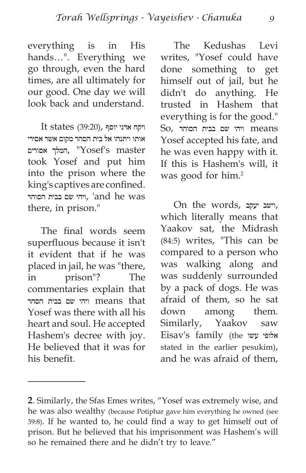everything is in His hands…". Everything we go through, even the hard times, are all ultimately for our good. One day we will look back and understand.

 $It states (39:20)$ , ויקח אדני יוסף אותו ויתנהו אל בית הסהר מקום אשר אסירי אסורים המלך," Yosef's master took Yosef and put him into the prison where the king's captives are confined. ויהי שם בבית הסוהר, 'and he was there, in prison."

The final words seem superfluous because it isn't it evident that if he was placed in jail, he was "there, in prison"? The commentaries explain that means that ויהי שם בבית הסהר Yosef was there with all his heart and soul. He accepted Hashem's decree with joy. He believed that it was for his benefit.

The Kedushas Levi writes, "Yosef could have done something to get himself out of jail, but he didn't do anything. He trusted in Hashem that everything is for the good." means ויהי שם בבית הסוהר ,So Yosef accepted his fate, and he was even happy with it. If this is Hashem's will, it was good for him.<sup>2</sup>

On the words, יעקב וישב, which literally means that Yaakov sat, the Midrash (84:5) writes, "This can be compared to a person who was walking along and was suddenly surrounded by a pack of dogs. He was afraid of them, so he sat down among them. Similarly, Yaakov saw Eisav's family (the עשו אלופי stated in the earlier pesukim), and he was afraid of them,

**<sup>2</sup>**. Similarly, the Sfas Emes writes, "Yosef was extremely wise, and he was also wealthy (because Potiphar gave him everything he owned (see 39:8). If he wanted to, he could find a way to get himself out of prison. But he believed that his imprisonment was Hashem's will so he remained there and he didn't try to leave."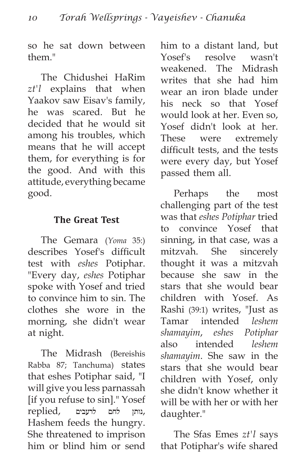so he sat down between them."

The Chidushei HaRim *zt'l* explains that when Yaakov saw Eisav's family, he was scared. But he decided that he would sit among his troubles, which means that he will accept them, for everything is for the good. And with this attitude, everything became good.

### **The Great Test**

The Gemara (*Yoma* 35:) describes Yosef's difficult test with *eshes* Potiphar. "Every day, *eshes* Potiphar spoke with Yosef and tried to convince him to sin. The clothes she wore in the morning, she didn't wear at night.

The Midrash (Bereishis Rabba 87; Tanchuma) states that eshes Potiphar said, "I will give you less parnassah [if you refuse to sin]." Yosef ,נותן לחם לרעבים ,replied Hashem feeds the hungry. She threatened to imprison him or blind him or send him to a distant land, but Yosef's resolve wasn't weakened. The Midrash writes that she had him wear an iron blade under his neck so that Yosef would look at her. Even so, Yosef didn't look at her. These were extremely difficult tests, and the tests were every day, but Yosef passed them all.

Perhaps the most challenging part of the test was that *eshes Potiphar* tried to convince Yosef that sinning, in that case, was a mitzvah. She sincerely thought it was a mitzvah because she saw in the stars that she would bear children with Yosef. As Rashi (39:1) writes, "Just as Tamar intended *leshem shamayim*, *eshes Potiphar* also intended *leshem shamayim*. She saw in the stars that she would bear children with Yosef, only she didn't know whether it will be with her or with her daughter."

The Sfas Emes *zt'l* says that Potiphar's wife shared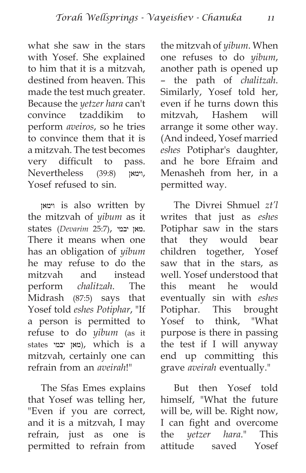what she saw in the stars with Yosef. She explained to him that it is a mitzvah, destined from heaven. This made the test much greater. Because the *yetzer hara* can't convince tzaddikim to perform *aveiros*, so he tries to convince them that it is a mitzvah. The test becomes very difficult to pass. ,וימאן (39:8) Nevertheless Yosef refused to sin.

וימאן is also written by the mitzvah of *yibum* as it .מאן יבמי ,(25:7 *Devarim* (states There it means when one has an obligation of *yibum* he may refuse to do the mitzvah and instead perform *chalitzah*. The Midrash (87:5) says that Yosef told *eshes Potiphar*, "If a person is permitted to refuse to do *yibum* (as it states יבמי מאן(, which is a mitzvah, certainly one can refrain from an *aveirah*!"

The Sfas Emes explains that Yosef was telling her, "Even if you are correct, and it is a mitzvah, I may refrain, just as one is permitted to refrain from the mitzvah of *yibum*. When one refuses to do *yibum*, another path is opened up – the path of *chalitzah*. Similarly, Yosef told her, even if he turns down this mitzvah, Hashem will arrange it some other way. (And indeed, Yosef married *eshes* Potiphar's daughter, and he bore Efraim and Menasheh from her, in a permitted way.

The Divrei Shmuel *zt'l* writes that just as *eshes* Potiphar saw in the stars that they would bear children together, Yosef saw that in the stars, as well. Yosef understood that this meant he would eventually sin with *eshes* Potiphar. This brought Yosef to think, "What purpose is there in passing the test if I will anyway end up committing this grave *aveirah* eventually."

But then Yosef told himself, "What the future will be, will be. Right now, I can fight and overcome the *yetzer hara*." This attitude saved Yosef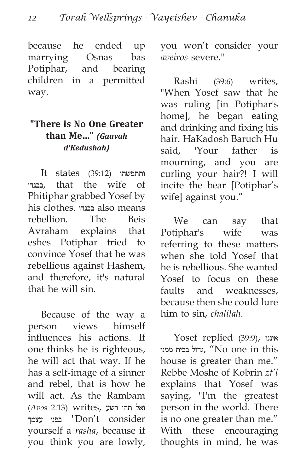because he ended up marrying Osnas bas Potiphar, and bearing children in a permitted way.

#### **"There is No One Greater than Me…"** *(Gaavah d'Kedushah)*

It states (39:12) ותתפשהו בבגדו, that the wife of Phitiphar grabbed Yosef by his clothes. בבגדו also means rebellion. The Beis Avraham explains that eshes Potiphar tried to convince Yosef that he was rebellious against Hashem, and therefore, it's natural that he will sin.

Because of the way a person views himself influences his actions. If one thinks he is righteous, he will act that way. If he has a self-image of a sinner and rebel, that is how he will act. As the Rambam ואל תהי רשע ,Writes) ואל תהי עצמך בפני" Don't consider yourself a *rasha*, because if you think you are lowly, you won't consider your *aveiros* severe."

Rashi (39:6) writes, "When Yosef saw that he was ruling [in Potiphar's home], he began eating and drinking and fixing his hair. HaKadosh Baruch Hu said, 'Your father is mourning, and you are curling your hair?! I will incite the bear [Potiphar's wife] against you."

We can say that Potiphar's wife was referring to these matters when she told Yosef that he is rebellious. She wanted Yosef to focus on these faults and weaknesses, because then she could lure him to sin, *chalilah*.

Yosef replied (39:9), איננו ממני בבית גדול," No one in this house is greater than me." Rebbe Moshe of Kobrin *zt'l* explains that Yosef was saying, "I'm the greatest person in the world. There is no one greater than me." With these encouraging thoughts in mind, he was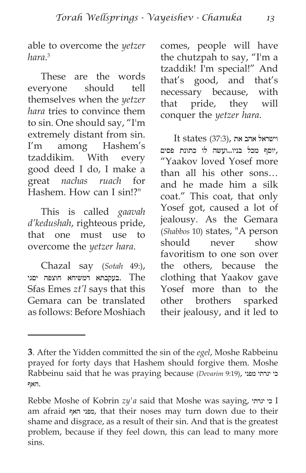able to overcome the *yetzer hara*. 3

These are the words everyone should tell themselves when the *yetzer hara* tries to convince them to sin. One should say, "I'm extremely distant from sin. I'm among Hashem's tzaddikim. With every good deed I do, I make a great *nachas ruach* for Hashem. How can I sin!?"

This is called *gaavah d'kedushah*, righteous pride, that one must use to overcome the *yetzer hara*.

Chazal say (*Sotah* 49:), The .בעקבתא דמשיחא חוצפה יסגי Sfas Emes *zt'l* says that this Gemara can be translated as follows: Before Moshiach comes, people will have the chutzpah to say, "I'm a tzaddik! I'm special!" And that's good, and that's necessary because, with that pride, they will conquer the *yetzer hara*.

 $It states (37:3),$  וישראל אהב את ,יוסף מכל בניו...ועשה לו כתונת פסים "Yaakov loved Yosef more than all his other sons… and he made him a silk coat." This coat, that only Yosef got, caused a lot of jealousy. As the Gemara (*Shabbos* 10) states, "A person should never show favoritism to one son over the others, because the clothing that Yaakov gave Yosef more than to the other brothers sparked their jealousy, and it led to

**<sup>3</sup>**. After the Yidden committed the sin of the *egel*, Moshe Rabbeinu prayed for forty days that Hashem should forgive them. Moshe Rabbeinu said that he was praying because (*Devarim* 9:19), מפני יגרתי כי .האף

Rebbe Moshe of Kobrin *zy'a* said that Moshe was saying, יגרתי כי I am afraid האף מפני, that their noses may turn down due to their shame and disgrace, as a result of their sin. And that is the greatest problem, because if they feel down, this can lead to many more sins.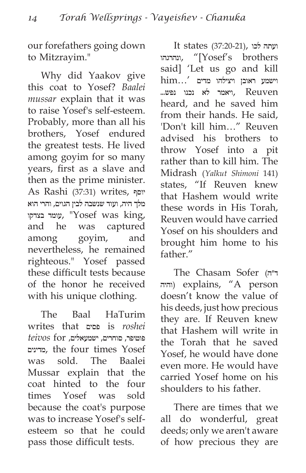our forefathers going down to Mitzrayim."

Why did Yaakov give this coat to Yosef? *Baalei mussar* explain that it was to raise Yosef's self-esteem. Probably, more than all his brothers, Yosef endured the greatest tests. He lived among goyim for so many years, first as a slave and then as the prime minister. As Rashi (37:31) writes, יוסף מלך היה, ועוד שנשבה לבין הגוים, והרי הוא עומד בצדקו, "Yosef was king, and he was captured among goyim, and nevertheless, he remained righteous." Yosef passed these difficult tests because of the honor he received with his unique clothing.

The Baal HaTurim writes that פסים is *roshei*  פוטיפר, סוחרים, ישמעאלים, for *teivos* מדינים, the four times Yosef was sold. The Baalei Mussar explain that the coat hinted to the four times Yosef was sold because the coat's purpose was to increase Yosef's selfesteem so that he could pass those difficult tests.

 ועתה לכו ,(37:20-21) states It ונהרגהו, " $[Yosef's$  brothers said] 'Let us go and kill  $\lim...'$  וישמע ראובן ויצילהו מדים Reuven ,ויאמר לא נכנו נפש... heard, and he saved him from their hands. He said, 'Don't kill him…" Reuven advised his brothers to throw Yosef into a pit rather than to kill him. The Midrash (*Yalkut Shimoni* 141) states, "If Reuven knew that Hashem would write these words in His Torah, Reuven would have carried Yosef on his shoulders and brought him home to his father"

The Chasam Sofer (ד״ה והיה (explains, "A person doesn't know the value of his deeds, just how precious they are. If Reuven knew that Hashem will write in the Torah that he saved Yosef, he would have done even more. He would have carried Yosef home on his shoulders to his father.

There are times that we all do wonderful, great deeds; only we aren't aware of how precious they are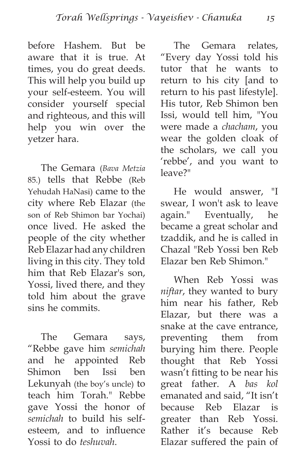before Hashem. But be aware that it is true. At times, you do great deeds. This will help you build up your self-esteem. You will consider yourself special and righteous, and this will help you win over the yetzer hara.

The Gemara (*Bava Metzia* 85.) tells that Rebbe (Reb Yehudah HaNasi) came to the city where Reb Elazar (the son of Reb Shimon bar Yochai) once lived. He asked the people of the city whether Reb Elazar had any children living in this city. They told him that Reb Elazar's son, Yossi, lived there, and they told him about the grave sins he commits.

The Gemara says, "Rebbe gave him *semichah* and he appointed Reb Shimon ben Issi ben Lekunyah (the boy's uncle) to teach him Torah." Rebbe gave Yossi the honor of *semichah* to build his selfesteem, and to influence Yossi to do *teshuvah*.

The Gemara relates, "Every day Yossi told his tutor that he wants to return to his city [and to return to his past lifestyle]. His tutor, Reb Shimon ben Issi, would tell him, "You were made a *chacham*, you wear the golden cloak of the scholars, we call you 'rebbe', and you want to leave?"

He would answer, "I swear, I won't ask to leave again." Eventually, he became a great scholar and tzaddik, and he is called in Chazal "Reb Yossi ben Reb Elazar ben Reb Shimon."

When Reb Yossi was *niftar*, they wanted to bury him near his father, Reb Elazar, but there was a snake at the cave entrance, preventing them from burying him there. People thought that Reb Yossi wasn't fitting to be near his great father. A *bas kol* emanated and said, "It isn't because Reb Elazar is greater than Reb Yossi. Rather it's because Reb Elazar suffered the pain of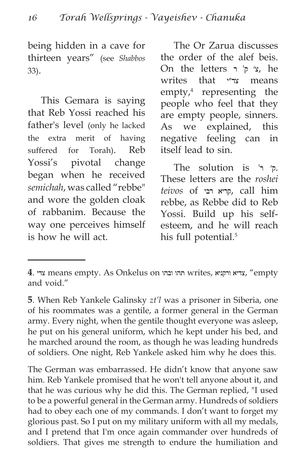being hidden in a cave for thirteen years" (see *Shabbos* 33).

This Gemara is saying that Reb Yossi reached his father's level (only he lacked the extra merit of having suffered for Torah). Reb Yossi's pivotal change began when he received *semichah*, was called "rebbe" and wore the golden cloak of rabbanim. Because the way one perceives himself is how he will act.

The Or Zarua discusses the order of the alef beis. On the letters  $\gamma$ ' ק'  $\gamma$ , he writes that צד״י means empty,4 representing the people who feel that they are empty people, sinners. As we explained, this negative feeling can in itself lead to sin.

The solution is  $\vdash$   $\vdash$ These letters are the *roshei teivos* of רבי קריא, call him rebbe, as Rebbe did to Reb Yossi. Build up his selfesteem, and he will reach his full potential.<sup>5</sup>

The German was embarrassed. He didn't know that anyone saw him. Reb Yankele promised that he won't tell anyone about it, and that he was curious why he did this. The German replied, "I used to be a powerful general in the German army. Hundreds of soldiers had to obey each one of my commands. I don't want to forget my glorious past. So I put on my military uniform with all my medals, and I pretend that I'm once again commander over hundreds of soldiers. That gives me strength to endure the humiliation and

**<sup>4</sup>**. צדי means empty. As Onkelus on ובהו תהו writes, ורקניא צדיא," empty and void."

**<sup>5</sup>**. When Reb Yankele Galinsky *zt'l* was a prisoner in Siberia, one of his roommates was a gentile, a former general in the German army. Every night, when the gentile thought everyone was asleep, he put on his general uniform, which he kept under his bed, and he marched around the room, as though he was leading hundreds of soldiers. One night, Reb Yankele asked him why he does this.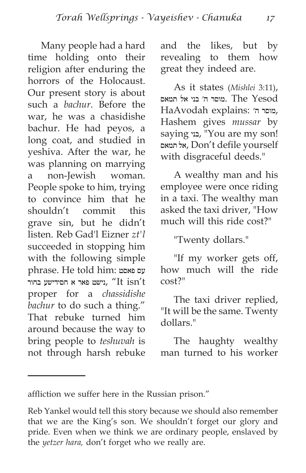Many people had a hard time holding onto their religion after enduring the horrors of the Holocaust. Our present story is about such a *bachur*. Before the war, he was a chasidishe bachur. He had peyos, a long coat, and studied in yeshiva. After the war, he was planning on marrying a non-Jewish woman. People spoke to him, trying to convince him that he shouldn't commit this grave sin, but he didn't listen. Reb Gad'l Eizner *zt'l* succeeded in stopping him with the following simple phrase. He told him: פאסט עס נישט פאר א חסידישע בחור, "It  $i$ sn't proper for a *chassidishe bachur* to do such a thing." That rebuke turned him around because the way to bring people to *teshuvah* is not through harsh rebuke and the likes, but by revealing to them how great they indeed are.

As it states (*Mishlei* 3:11), מוסר ה׳ בני אל תמאס. The  $\,$ Yesod HaAvodah explains: ',מוסר ה', Hashem gives *mussar* by saying בני," You are my son! תמאס אל, Don't defile yourself with disgraceful deeds."

A wealthy man and his employee were once riding in a taxi. The wealthy man asked the taxi driver, "How much will this ride cost?"

"Twenty dollars."

"If my worker gets off, how much will the ride cost?"

The taxi driver replied, "It will be the same. Twenty dollars."

The haughty wealthy man turned to his worker

affliction we suffer here in the Russian prison."

Reb Yankel would tell this story because we should also remember that we are the King's son. We shouldn't forget our glory and pride. Even when we think we are ordinary people, enslaved by the *yetzer hara,* don't forget who we really are.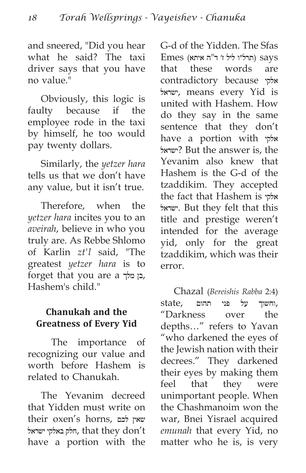and sneered, "Did you hear what he said? The taxi driver says that you have no value."

Obviously, this logic is faulty because if the employee rode in the taxi by himself, he too would pay twenty dollars.

Similarly, the *yetzer hara* tells us that we don't have any value, but it isn't true.

Therefore, when the *yetzer hara* incites you to an *aveirah*, believe in who you truly are. As Rebbe Shlomo of Karlin *zt'l* said, "The greatest *yetzer hara* is to forget that you are a מלך בן, Hashem's child."

## **Chanukah and the Greatness of Every Yid**

 The importance of recognizing our value and worth before Hashem is related to Chanukah.

The Yevanim decreed that Yidden must write on their oxen's horns, לכם שאין ישראל באלקי חלק, that they don't have a portion with the G-d of the Yidden. The Sfas  $E$ ותרל״ו ליל ז׳ ד"ה איתא) says that these words are contradictory because אלקי ישראל, means every Yid is united with Hashem. How do they say in the same sentence that they don't have a portion with אלקי ישראל ?But the answer is, the Yevanim also knew that Hashem is the G-d of the tzaddikim. They accepted the fact that Hashem is אלקי ישראל. But they felt that this title and prestige weren't intended for the average yid, only for the great tzaddikim, which was their error.

Chazal (*Bereishis Rabba* 2:4) ,וחשוך על פני תהום ,state "Darkness over the depths…" refers to Yavan "who darkened the eyes of the Jewish nation with their decrees." They darkened their eyes by making them feel that they were unimportant people. When the Chashmanoim won the war, Bnei Yisrael acquired *emunah* that every Yid, no matter who he is, is very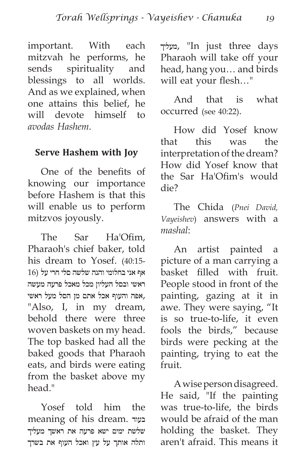important. With each mitzvah he performs, he sends spirituality and blessings to all worlds. And as we explained, when one attains this belief, he will devote himself to *avodas Hashem*.

#### **Serve Hashem with Joy**

One of the benefits of knowing our importance before Hashem is that this will enable us to perform mitzvos joyously.

The Sar Ha'Ofim, Pharaoh's chief baker, told his dream to Yosef. (40:15- אף אני בחלומי והנה שלשה סלי חרי על (16 ראשי ובסל העליון מכל מאכל פרעה מעשה ,אפה והעוף אכל אתם מן הסל מעל ראשי "Also, I, in my dream, behold there were three woven baskets on my head. The top basked had all the baked goods that Pharaoh eats, and birds were eating from the basket above my head."

Yosef told him the meaning of his dream. בעוד שלשת ימים ישא פרעה את ראשך מעליך ותלה אותך על עץ ואכל העוף את בשרך מעליך," In just three days Pharaoh will take off your head, hang you… and birds will eat your flesh…"

And that is what occurred (see 40:22).

How did Yosef know that this was the interpretation of the dream? How did Yosef know that the Sar Ha'Ofim's would die?

The Chida (*Pnei David, Vayeishev*) answers with a *mashal*:

An artist painted a picture of a man carrying a basket filled with fruit. People stood in front of the painting, gazing at it in awe. They were saying, "It is so true-to-life, it even fools the birds," because birds were pecking at the painting, trying to eat the fruit.

A wise person disagreed. He said, "If the painting was true-to-life, the birds would be afraid of the man holding the basket. They aren't afraid. This means it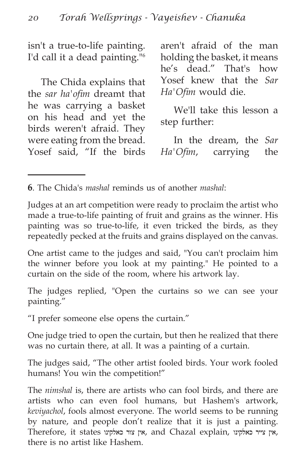isn't a true-to-life painting. I'd call it a dead painting."6

The Chida explains that the *sar ha'ofim* dreamt that he was carrying a basket on his head and yet the birds weren't afraid. They were eating from the bread. Yosef said, "If the birds aren't afraid of the man holding the basket, it means he's dead." That's how Yosef knew that the *Sar Ha'Ofim* would die.

We'll take this lesson a step further:

In the dream, the *Sar Ha'Ofim*, carrying the

**6**. The Chida's *mashal* reminds us of another *mashal*:

Judges at an art competition were ready to proclaim the artist who made a true-to-life painting of fruit and grains as the winner. His painting was so true-to-life, it even tricked the birds, as they repeatedly pecked at the fruits and grains displayed on the canvas.

One artist came to the judges and said, "You can't proclaim him the winner before you look at my painting." He pointed to a curtain on the side of the room, where his artwork lay.

The judges replied, "Open the curtains so we can see your painting."

"I prefer someone else opens the curtain."

One judge tried to open the curtain, but then he realized that there was no curtain there, at all. It was a painting of a curtain.

The judges said, "The other artist fooled birds. Your work fooled humans! You win the competition!"

The *nimshal* is, there are artists who can fool birds, and there are artists who can even fool humans, but Hashem's artwork, *keviyachol*, fools almost everyone. The world seems to be running by nature, and people don't realize that it is just a painting. Therefore, it states אין צור כאלקינו, and Chazal explain, אין צייר כאלקינו, there is no artist like Hashem.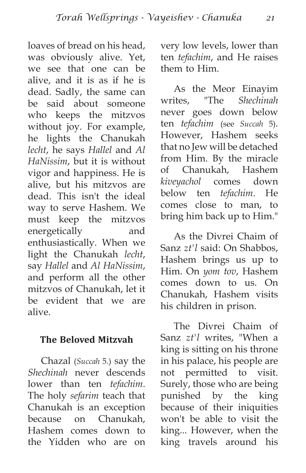loaves of bread on his head, was obviously alive. Yet, we see that one can be alive, and it is as if he is dead. Sadly, the same can be said about someone who keeps the mitzvos without joy. For example, he lights the Chanukah *lecht*, he says *Hallel* and *Al HaNissim*, but it is without vigor and happiness. He is alive, but his mitzvos are dead. This isn't the ideal way to serve Hashem. We must keep the mitzvos energetically and enthusiastically. When we light the Chanukah *lecht*, say *Hallel* and *Al HaNissim*, and perform all the other mitzvos of Chanukah, let it be evident that we are alive.

#### **The Beloved Mitzvah**

Chazal (*Succah* 5.) say the *Shechinah* never descends lower than ten *tefachim*. The holy *sefarim* teach that Chanukah is an exception because on Chanukah, Hashem comes down to the Yidden who are on very low levels, lower than ten *tefachim*, and He raises them to Him.

As the Meor Einayim writes, "The *Shechinah* never goes down below ten *tefachim* (see *Succah* 5). However, Hashem seeks that no Jew will be detached from Him. By the miracle of Chanukah, Hashem *kiveyachol* comes down below ten *tefachim*. He comes close to man, to bring him back up to Him."

As the Divrei Chaim of Sanz *zt'l* said: On Shabbos, Hashem brings us up to Him. On *yom tov*, Hashem comes down to us. On Chanukah, Hashem visits his children in prison.

The Divrei Chaim of Sanz *zt'l* writes, "When a king is sitting on his throne in his palace, his people are not permitted to visit. Surely, those who are being punished by the king because of their iniquities won't be able to visit the king... However, when the king travels around his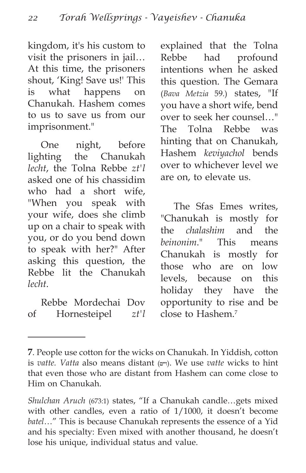kingdom, it's his custom to visit the prisoners in jail… At this time, the prisoners shout, 'King! Save us!' This is what happens on Chanukah. Hashem comes to us to save us from our imprisonment."

One night, before lighting the Chanukah *lecht*, the Tolna Rebbe *zt'l* asked one of his chassidim who had a short wife, "When you speak with your wife, does she climb up on a chair to speak with you, or do you bend down to speak with her?" After asking this question, the Rebbe lit the Chanukah *lecht*.

Rebbe Mordechai Dov of Hornesteipel *zt'l* explained that the Tolna Rebbe had profound intentions when he asked this question. The Gemara (*Bava Metzia* 59.) states, "If you have a short wife, bend over to seek her counsel…" The Tolna Rebbe was hinting that on Chanukah, Hashem *keviyachol* bends over to whichever level we are on, to elevate us.

The Sfas Emes writes, "Chanukah is mostly for the *chalashim* and the *beinonim*." This means Chanukah is mostly for those who are on low levels, because on this holiday they have the opportunity to rise and be close to Hashem.7

**<sup>7</sup>**. People use cotton for the wicks on Chanukah. In Yiddish, cotton is *vatte. Vatta* also means distant (וייט(. We use *vatte* wicks to hint that even those who are distant from Hashem can come close to Him on Chanukah.

*Shulchan Aruch* (673:1) states, "If a Chanukah candle…gets mixed with other candles, even a ratio of 1/1000, it doesn't become *batel*…" This is because Chanukah represents the essence of a Yid and his specialty: Even mixed with another thousand, he doesn't lose his unique, individual status and value.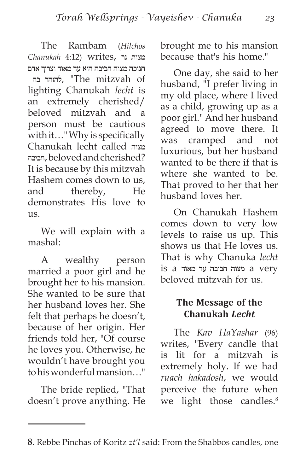The Rambam (*Hilchos*  מצות נר ,writes) 4:12 *Chanukah* חנוכה מצוה חביבה היא עד מאוד וצריך אדם בה להזהר," The mitzvah of lighting Chanukah *lecht* is an extremely cherished/ beloved mitzvah and a person must be cautious with it…" Why is specifically Chanukah lecht called מצוה חביבה, beloved and cherished? It is because by this mitzvah Hashem comes down to us, and thereby, He demonstrates His love to us.

We will explain with a mashal:

A wealthy person married a poor girl and he brought her to his mansion. She wanted to be sure that her husband loves her. She felt that perhaps he doesn't, because of her origin. Her friends told her, "Of course he loves you. Otherwise, he wouldn't have brought you to his wonderful mansion…"

The bride replied, "That doesn't prove anything. He brought me to his mansion because that's his home."

One day, she said to her husband, "I prefer living in my old place, where I lived as a child, growing up as a poor girl." And her husband agreed to move there. It was cramped and not luxurious, but her husband wanted to be there if that is where she wanted to be. That proved to her that her husband loves her.

On Chanukah Hashem comes down to very low levels to raise us up. This shows us that He loves us. That is why Chanuka *lecht* is a מצוה חביבה עד מאוד  $\alpha$  very beloved mitzvah for us.

#### **The Message of the Chanukah** *Lecht*

The *Kav HaYashar* (96) writes, "Every candle that is lit for a mitzvah is extremely holy. If we had *ruach hakadosh*, we would perceive the future when we light those candles.<sup>8</sup>

**<sup>8</sup>**. Rebbe Pinchas of Koritz *zt'l* said: From the Shabbos candles, one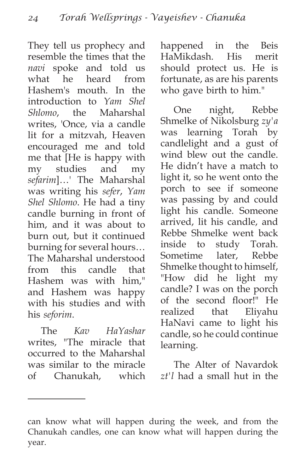They tell us prophecy and resemble the times that the *navi* spoke and told us what he heard from Hashem's mouth. In the introduction to *Yam Shel Shlomo*, the Maharshal writes, 'Once, via a candle lit for a mitzvah, Heaven encouraged me and told me that [He is happy with my studies and my *sefarim*]…' The Maharshal was writing his *sefer*, *Yam Shel Shlomo*. He had a tiny candle burning in front of him, and it was about to burn out, but it continued burning for several hours… The Maharshal understood from this candle that Hashem was with him," and Hashem was happy with his studies and with his *seforim*.

The *Kav HaYashar* writes, "The miracle that occurred to the Maharshal was similar to the miracle of Chanukah, which happened in the Beis HaMikdash. His merit should protect us. He is fortunate, as are his parents who gave birth to him."

One night, Rebbe Shmelke of Nikolsburg *zy'a* was learning Torah by candlelight and a gust of wind blew out the candle. He didn't have a match to light it, so he went onto the porch to see if someone was passing by and could light his candle. Someone arrived, lit his candle, and Rebbe Shmelke went back inside to study Torah. Sometime later, Rebbe Shmelke thought to himself, "How did he light my candle? I was on the porch of the second floor!" He realized that Eliyahu HaNavi came to light his candle, so he could continue learning.

The Alter of Navardok *zt'l* had a small hut in the

can know what will happen during the week, and from the Chanukah candles, one can know what will happen during the year.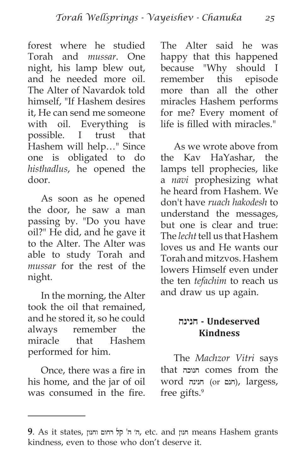forest where he studied Torah and *mussar*. One night, his lamp blew out, and he needed more oil. The Alter of Navardok told himself, "If Hashem desires it, He can send me someone with oil. Everything is possible. I trust that Hashem will help…" Since one is obligated to do *histhadlus*, he opened the door.

As soon as he opened the door, he saw a man passing by. "Do you have oil?" He did, and he gave it to the Alter. The Alter was able to study Torah and *mussar* for the rest of the night.

In the morning, the Alter took the oil that remained, and he stored it, so he could always remember the miracle that Hashem performed for him.

Once, there was a fire in his home, and the jar of oil was consumed in the fire.

The Alter said he was happy that this happened because "Why should I remember this episode more than all the other miracles Hashem performs for me? Every moment of life is filled with miracles."

As we wrote above from the Kav HaYashar, the lamps tell prophecies, like a *navi* prophesizing what he heard from Hashem. We don't have *ruach hakodesh* to understand the messages, but one is clear and true: The *lecht* tell us that Hashem loves us and He wants our Torah and mitzvos. Hashem lowers Himself even under the ten *tefachim* to reach us and draw us up again.

#### **Undeserved - חנינה Kindness**

The *Machzor Vitri* says that חנוכה comes from the word <sub>חנינה</sub>), largess, free gifts.9

**<sup>9</sup>**. As it states, וחנון רחום קל' ה ה׳, etc. and חנון means Hashem grants kindness, even to those who don't deserve it.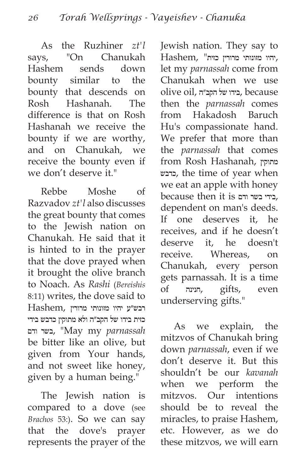As the Ruzhiner *zt'l* says, "On Chanukah Hashem sends down bounty similar to the bounty that descends on Rosh Hashanah. The difference is that on Rosh Hashanah we receive the bounty if we are worthy, and on Chanukah, we receive the bounty even if we don't deserve it."

Rebbe Moshe of Razvadov *zt'l* also discusses the great bounty that comes to the Jewish nation on Chanukah. He said that it is hinted to in the prayer that the dove prayed when it brought the olive branch to Noach. As *Rashi* (*Bereishis* 8:11) writes, the dove said to רבש״ע יהיו מזונותי מרורין ,Hashem כזית בידו של הקב״ה ולא מתוקין כדבש בידי ודם בשר," May my *parnassah* be bitter like an olive, but given from Your hands, and not sweet like honey, given by a human being."

The Jewish nation is compared to a dove (see *Brachos* 53:). So we can say that the dove's prayer represents the prayer of the Jewish nation. They say to ,יהיו מזונותי מרורין כזית" ,Hashem let my *parnassah* come from Chanukah when we use olive oil, בידו של הקב״ה, because then the *parnassah* comes from Hakadosh Baruch Hu's compassionate hand. We prefer that more than the *parnassah* that comes from Rosh Hashanah, מתוקין כדבש, the time of year when we eat an apple with honey because then it is ודם בשר בידי, dependent on man's deeds. If one deserves it, he receives, and if he doesn't deserve it, he doesn't receive. Whereas, on Chanukah, every person gets parnassah. It is a time of חנינה, gifts, even underserving gifts."

As we explain, the mitzvos of Chanukah bring down *parnassah*, even if we don't deserve it. But this shouldn't be our *kavanah* when we perform the mitzvos. Our intentions should be to reveal the miracles, to praise Hashem, etc. However, as we do these mitzvos, we will earn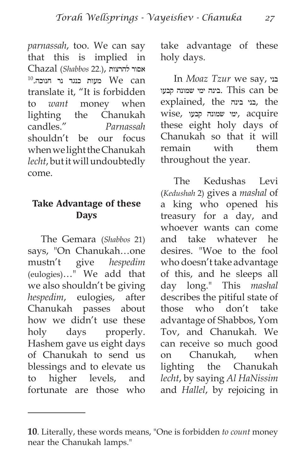*parnassah*, too. We can say that this is implied in אסור להרצות ,(22. *Shabbos* (Chazal  $^{10}$ ונוכה. $^{10}$  מעות כנגד נר חנוכה We can translate it, "It is forbidden to *want* money when lighting the Chanukah candles." *Parnassah* shouldn't be our focus when we light the Chanukah *lecht*, but it will undoubtedly come.

#### **Take Advantage of these Days**

The Gemara (*Shabbos* 21) says, "On Chanukah…one mustn't give *hespedim* (eulogies)…" We add that we also shouldn't be giving *hespedim*, eulogies, after Chanukah passes about how we didn't use these holy days properly. Hashem gave us eight days of Chanukah to send us blessings and to elevate us to higher levels, and fortunate are those who take advantage of these holy days.

In *Moaz Tzur* we say, בני be can This .בינה ימי שמונה קבעו explained, the בינה בני, the acquire ,ימי שמונה קבעו ,wise these eight holy days of Chanukah so that it will remain with them throughout the year.

The Kedushas Levi (*Kedushah* 2) gives a *mashal* of a king who opened his treasury for a day, and whoever wants can come and take whatever he desires. "Woe to the fool who doesn't take advantage of this, and he sleeps all day long." This *mashal* describes the pitiful state of those who don't take advantage of Shabbos, Yom Tov, and Chanukah. We can receive so much good on Chanukah, when lighting the Chanukah *lecht*, by saying *Al HaNissim* and *Hallel*, by rejoicing in

**<sup>10</sup>**. Literally, these words means, "One is forbidden *to count* money near the Chanukah lamps."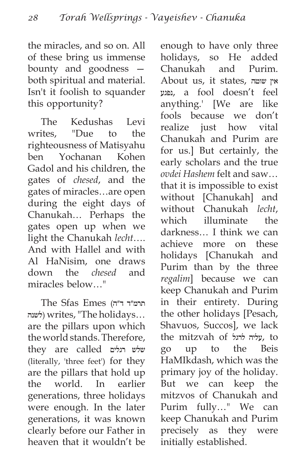the miracles, and so on. All of these bring us immense bounty and goodness both spiritual and material. Isn't it foolish to squander this opportunity?

The Kedushas Levi writes, "Due to the righteousness of Matisyahu ben Yochanan Kohen Gadol and his children, the gates of *chesed*, and the gates of miracles…are open during the eight days of Chanukah… Perhaps the gates open up when we light the Chanukah *lecht*…. And with Hallel and with Al HaNisim, one draws down the *chesed* and miracles below…"

The Sfas Emes (תרמ״ד ד לשנה (writes, "The holidays… are the pillars upon which the world stands. Therefore, they are called רגלים שלש (literally, 'three feet') for they are the pillars that hold up the world. In earlier generations, three holidays were enough. In the later generations, it was known clearly before our Father in heaven that it wouldn't be enough to have only three holidays, so He added Chanukah and Purim. About us, it states, שוטה אין נפגע, a fool doesn't feel anything.' [We are like fools because we don't realize just how vital Chanukah and Purim are for us.] But certainly, the early scholars and the true *ovdei Hashem* felt and saw… that it is impossible to exist without [Chanukah] and without Chanukah *lecht*, which illuminate the darkness… I think we can achieve more on these holidays [Chanukah and Purim than by the three *regalim*] because we can keep Chanukah and Purim in their entirety. During the other holidays [Pesach, Shavuos, Succos], we lack the mitzvah of לרגל עליה, to go up to the Beis HaMIkdash, which was the primary joy of the holiday. But we can keep the mitzvos of Chanukah and Purim fully…" We can keep Chanukah and Purim precisely as they were initially established.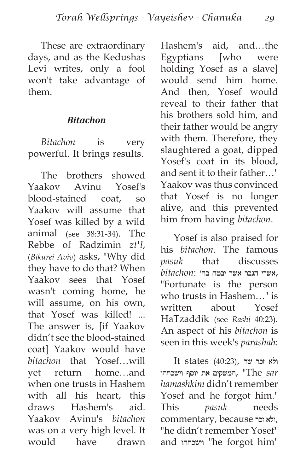These are extraordinary days, and as the Kedushas Levi writes, only a fool won't take advantage of them.

#### *Bitachon*

*Bitachon* is very powerful. It brings results.

The brothers showed Yaakov Avinu Yosef's blood-stained coat, so Yaakov will assume that Yosef was killed by a wild animal (see 38:31-34). The Rebbe of Radzimin *zt'l*, (*Bikurei Aviv*) asks, "Why did they have to do that? When Yaakov sees that Yosef wasn't coming home, he will assume, on his own, that Yosef was killed! ... The answer is, [if Yaakov didn't see the blood-stained coat] Yaakov would have *bitachon* that Yosef…will yet return home…and when one trusts in Hashem with all his heart, this draws Hashem's aid. Yaakov Avinu's *bitachon* was on a very high level. It would have drawn Hashem's aid, and…the Egyptians [who were holding Yosef as a slave] would send him home. And then, Yosef would reveal to their father that his brothers sold him, and their father would be angry with them. Therefore, they slaughtered a goat, dipped Yosef's coat in its blood, and sent it to their father…" Yaakov was thus convinced that Yosef is no longer alive, and this prevented him from having *bitachon*.

Yosef is also praised for his *bitachon*. The famous *pasuk* that discusses ,אשרי הגבר אשר יבטח בה׳ :*bitachon* "Fortunate is the person who trusts in Hashem…" is written about Yosef HaTzaddik (see *Rashi* 40:23). An aspect of his *bitachon* is seen in this week's *parashah*:

 $It states (40:23),$  ולא זכר שר *sar* The ",המשקים את יוסף וישכחהו *hamashkim* didn't remember Yosef and he forgot him." This *pasuk* needs ,ולא זכר because ,commentary "he didn't remember Yosef" and וישכחהו" he forgot him"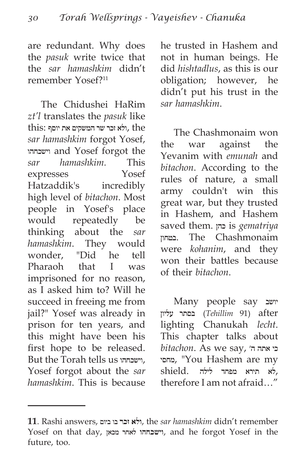are redundant. Why does the *pasuk* write twice that the *sar hamashkim* didn't remember Yosef?11

The Chidushei HaRim *zt'l* translates the *pasuk* like the ,ולא זכר שר המשקים את יוסף, the *sar hamashkim* forgot Yosef, וישכחהו and Yosef forgot the *sar hamashkim.* This expresses Yosef Hatzaddik's incredibly high level of *bitachon*. Most people in Yosef's place would repeatedly be thinking about the *sar hamashkim*. They would wonder, "Did he tell Pharaoh that I was imprisoned for no reason, as I asked him to? Will he succeed in freeing me from jail?" Yosef was already in prison for ten years, and this might have been his first hope to be released. But the Torah tells us וישכחהו, Yosef forgot about the *sar hamashkim*. This is because he trusted in Hashem and not in human beings. He did *hishtadlus*, as this is our obligation; however, he didn't put his trust in the *sar hamashkim*.

The Chashmonaim won the war against the Yevanim with *emunah* and *bitachon*. According to the rules of nature, a small army couldn't win this great war, but they trusted in Hashem, and Hashem saved them. כהן is *gematriya* בטחון. The Chashmonaim were *kohanim*, and they won their battles because of their *bitachon*.

Many people say יושב after) 91 *Tehillim* (בסתר עליון lighting Chanukah *lecht*. This chapter talks about  $bitachon.$  As we say, הי מחסי," You Hashem are my ,לא תירא מפחד לילה .shield therefore I am not afraid…"

**<sup>11</sup>**. Rashi answers, ביום בו **זכר ולא**, the *sar hamashkim* didn't remember Yosef on that day, מכאן לאחר **וישכחהו**, and he forgot Yosef in the future, too.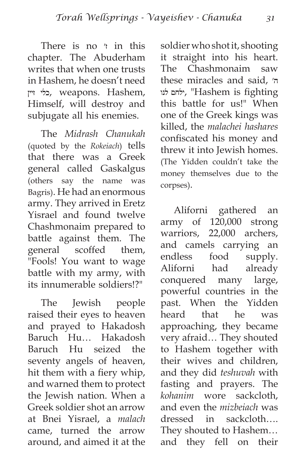There is no  $\prime$  in this chapter. The Abuderham writes that when one trusts in Hashem, he doesn't need ,Hashem .weapons ,כלי זיין Himself, will destroy and subjugate all his enemies.

The *Midrash Chanukah* (quoted by the *Rokeiach*) tells that there was a Greek general called Gaskalgus (others say the name was Bagris). He had an enormous army. They arrived in Eretz Yisrael and found twelve Chashmonaim prepared to battle against them. The general scoffed them, "Fools! You want to wage battle with my army, with its innumerable soldiers!?"

The Jewish people raised their eyes to heaven and prayed to Hakadosh Baruch Hu… Hakadosh Baruch Hu seized the seventy angels of heaven, hit them with a fiery whip, and warned them to protect the Jewish nation. When a Greek soldier shot an arrow at Bnei Yisrael, a *malach* came, turned the arrow around, and aimed it at the soldier who shot it, shooting it straight into his heart. The Chashmonaim saw these miracles and said, ה׳ לנו ילחם," Hashem is fighting this battle for us!" When one of the Greek kings was killed, the *malachei hashares* confiscated his money and threw it into Jewish homes. (The Yidden couldn't take the money themselves due to the corpses).

Aliforni gathered an army of 120,000 strong warriors, 22,000 archers, and camels carrying an endless food supply. Aliforni had already conquered many large, powerful countries in the past. When the Yidden heard that he was approaching, they became very afraid… They shouted to Hashem together with their wives and children, and they did *teshuvah* with fasting and prayers. The *kohanim* wore sackcloth, and even the *mizbeiach* was dressed in sackcloth…. They shouted to Hashem… and they fell on their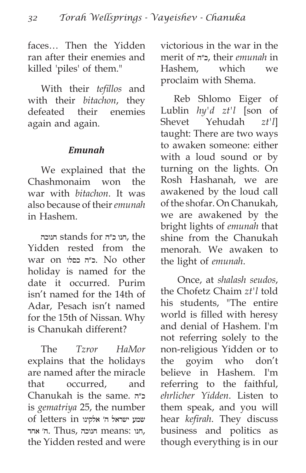faces… Then the Yidden ran after their enemies and killed 'piles' of them."

With their *tefillos* and with their *bitachon*, they defeated their enemies again and again.

#### *Emunah*

We explained that the Chashmonaim won the war with *bitachon*. It was also because of their *emunah* in Hashem.

 the ,חנו כ״ה for stands חנוכה Yidden rested from the war on כסלו כ״ה. No other holiday is named for the date it occurred. Purim isn't named for the 14th of Adar, Pesach isn't named for the 15th of Nissan. Why is Chanukah different?

The *Tzror HaMor* explains that the holidays are named after the miracle that occurred, and Chanukah is the same. כ״ה is *gematriya* 25, the number שמע ישראל ה׳ אלקינו in letters of ,חנו :means חנוכה ,Thus .ה׳ אחד the Yidden rested and were victorious in the war in the merit of כ״ה, their *emunah* in Hashem, which we proclaim with Shema.

Reb Shlomo Eiger of Lublin *hy'd zt'l* [son of Shevet Yehudah *zt'l*] taught: There are two ways to awaken someone: either with a loud sound or by turning on the lights. On Rosh Hashanah, we are awakened by the loud call of the shofar. On Chanukah, we are awakened by the bright lights of *emunah* that shine from the Chanukah menorah. We awaken to the light of *emunah*.

 Once, at *shalash seudos*, the Chofetz Chaim *zt'l* told his students, "The entire world is filled with heresy and denial of Hashem. I'm not referring solely to the non-religious Yidden or to the goyim who don't believe in Hashem. I'm referring to the faithful, *ehrlicher Yidden*. Listen to them speak, and you will hear *kefirah*. They discuss business and politics as though everything is in our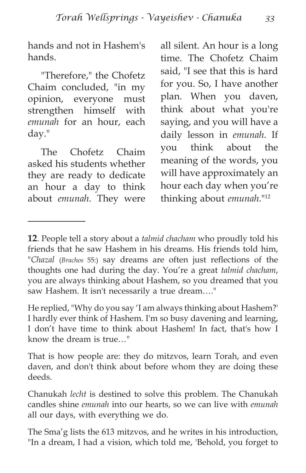hands and not in Hashem's hands.

"Therefore," the Chofetz Chaim concluded, "in my opinion, everyone must strengthen himself with *emunah* for an hour, each day."

The Chofetz Chaim asked his students whether they are ready to dedicate an hour a day to think about *emunah*. They were all silent. An hour is a long time. The Chofetz Chaim said, "I see that this is hard for you. So, I have another plan. When you daven, think about what you're saying, and you will have a daily lesson in *emunah*. If you think about the meaning of the words, you will have approximately an hour each day when you're thinking about *emunah*."12

He replied, "Why do you say 'I am always thinking about Hashem?' I hardly ever think of Hashem. I'm so busy davening and learning, I don't have time to think about Hashem! In fact, that's how I know the dream is true…"

That is how people are: they do mitzvos, learn Torah, and even daven, and don't think about before whom they are doing these deeds.

Chanukah *lecht* is destined to solve this problem. The Chanukah candles shine *emunah* into our hearts, so we can live with *emunah* all our days, with everything we do.

The Sma'g lists the 613 mitzvos, and he writes in his introduction, "In a dream, I had a vision, which told me, 'Behold, you forget to

**<sup>12</sup>**. People tell a story about a *talmid chacham* who proudly told his friends that he saw Hashem in his dreams. His friends told him, "*Chazal* (*Brachos* 55:) say dreams are often just reflections of the thoughts one had during the day. You're a great *talmid chacham*, you are always thinking about Hashem, so you dreamed that you saw Hashem. It isn't necessarily a true dream…."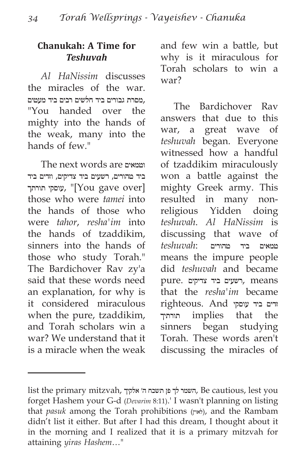#### **Chanukah: A Time for**  *Teshuvah*

*Al HaNissim* discusses the miracles of the war. ,מסרת גבורים ביד חלשים רבים ביד מעטים "You handed over the mighty into the hands of the weak, many into the hands of few."

The next words are וטמאים ביד טהורים, רשעים ביד צדיקים, וזדים ביד עוסקי תורתך, "[You gave over] those who were *tamei* into the hands of those who were *tahor*, *resha'im* into the hands of tzaddikim, sinners into the hands of those who study Torah." The Bardichover Rav zy'a said that these words need an explanation, for why is it considered miraculous when the pure, tzaddikim, and Torah scholars win a war? We understand that it is a miracle when the weak and few win a battle, but why is it miraculous for Torah scholars to win a war?

The Bardichover Rav answers that due to this war, a great wave of *teshuvah* began. Everyone witnessed how a handful of tzaddikim miraculously won a battle against the mighty Greek army. This resulted in many nonreligious Yidden doing *teshuvah*. *Al HaNissim* is discussing that wave of טמאים ביד טהורים :*teshuvah* means the impure people did *teshuvah* and became means ,רשעים ביד צדיקים .pure that the *resha'im* became זדים ביד עוסקי And .righteous תורתיך implies that the sinners began studying Torah. These words aren't discussing the miracles of

list the primary mitzvah, אלקיך ה׳ תשכח פן לך השמר, Be cautious, lest you forget Hashem your G-d (*Devarim* 8:11).' I wasn't planning on listing that *pasuk* among the Torah prohibitions (לאוין(, and the Rambam didn't list it either. But after I had this dream, I thought about it in the morning and I realized that it is a primary mitzvah for attaining *yiras Hashem*…"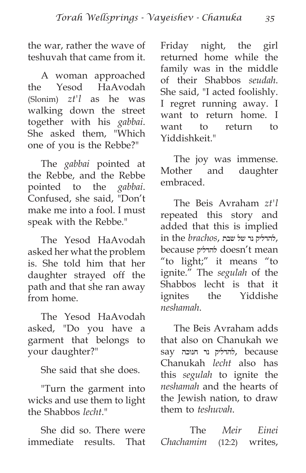the war, rather the wave of teshuvah that came from it.

A woman approached the Yesod HaAvodah (Slonim) *zt'l* as he was walking down the street together with his *gabbai*. She asked them, "Which one of you is the Rebbe?"

The *gabbai* pointed at the Rebbe, and the Rebbe pointed to the *gabbai*. Confused, she said, "Don't make me into a fool. I must speak with the Rebbe."

The Yesod HaAvodah asked her what the problem is. She told him that her daughter strayed off the path and that she ran away from home.

The Yesod HaAvodah asked, "Do you have a garment that belongs to your daughter?"

She said that she does.

"Turn the garment into wicks and use them to light the Shabbos *lecht*."

She did so. There were immediate results. That Friday night, the girl returned home while the family was in the middle of their Shabbos *seudah*. She said, "I acted foolishly. I regret running away. I want to return home. I want to return to Yiddishkeit."

The joy was immense. Mother and daughter embraced.

The Beis Avraham *zt'l* repeated this story and added that this is implied ,להדליק נר של שבת ,*brachos* the in because להדליק doesn't mean "to light;" it means "to ignite." The *segulah* of the Shabbos lecht is that it ignites the Yiddishe *neshamah*.

The Beis Avraham adds that also on Chanukah we because ,להדליק נר חנוכה say Chanukah *lecht* also has this *segulah* to ignite the *neshamah* and the hearts of the Jewish nation, to draw them to *teshuvah*.

 The *Meir Einei Chachamim* (12:2) writes,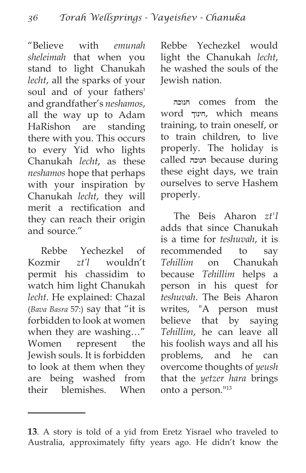"Believe with *emunah sheleimah* that when you stand to light Chanukah *lecht*, all the sparks of your soul and of your fathers' and grandfather's *neshamos*, all the way up to Adam HaRishon are standing there with you. This occurs to every Yid who lights Chanukah *lecht*, as these *neshamos* hope that perhaps with your inspiration by Chanukah *lecht*, they will merit a rectification and they can reach their origin and source."

Rebbe Yechezkel of Kozmir *zt'l* wouldn't permit his chassidim to watch him light Chanukah *lecht*. He explained: Chazal (*Bava Basra* 57:) say that "it is forbidden to look at women when they are washing…" Women represent the Jewish souls. It is forbidden to look at them when they are being washed from their blemishes. When Rebbe Yechezkel would light the Chanukah *lecht*, he washed the souls of the Jewish nation.

חנוכה comes from the word חינוך, which means training, to train oneself, or to train children, to live properly. The holiday is called חנוכה because during these eight days, we train ourselves to serve Hashem properly.

The Beis Aharon *zt'l* adds that since Chanukah is a time for *teshuvah*, it is recommended to say *Tehillim* on Chanukah because *Tehillim* helps a person in his quest for *teshuvah*. The Beis Aharon writes, "A person must believe that by saying *Tehillim*, he can leave all his foolish ways and all his problems, and he can overcome thoughts of *yeush* that the *yetzer hara* brings onto a person."13

**<sup>13</sup>**. A story is told of a yid from Eretz Yisrael who traveled to Australia, approximately fifty years ago. He didn't know the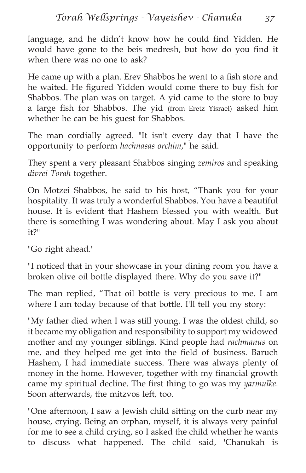language, and he didn't know how he could find Yidden. He would have gone to the beis medresh, but how do you find it when there was no one to ask?

He came up with a plan. Erev Shabbos he went to a fish store and he waited. He figured Yidden would come there to buy fish for Shabbos. The plan was on target. A yid came to the store to buy a large fish for Shabbos. The yid (from Eretz Yisrael) asked him whether he can be his guest for Shabbos.

The man cordially agreed. "It isn't every day that I have the opportunity to perform *hachnasas orchim*," he said.

They spent a very pleasant Shabbos singing *zemiros* and speaking *divrei Torah* together.

On Motzei Shabbos, he said to his host, "Thank you for your hospitality. It was truly a wonderful Shabbos. You have a beautiful house. It is evident that Hashem blessed you with wealth. But there is something I was wondering about. May I ask you about it?"

"Go right ahead."

"I noticed that in your showcase in your dining room you have a broken olive oil bottle displayed there. Why do you save it?"

The man replied, "That oil bottle is very precious to me. I am where I am today because of that bottle. I'll tell you my story:

"My father died when I was still young. I was the oldest child, so it became my obligation and responsibility to support my widowed mother and my younger siblings. Kind people had *rachmanus* on me, and they helped me get into the field of business. Baruch Hashem, I had immediate success. There was always plenty of money in the home. However, together with my financial growth came my spiritual decline. The first thing to go was my *yarmulke*. Soon afterwards, the mitzvos left, too.

"One afternoon, I saw a Jewish child sitting on the curb near my house, crying. Being an orphan, myself, it is always very painful for me to see a child crying, so I asked the child whether he wants to discuss what happened. The child said, 'Chanukah is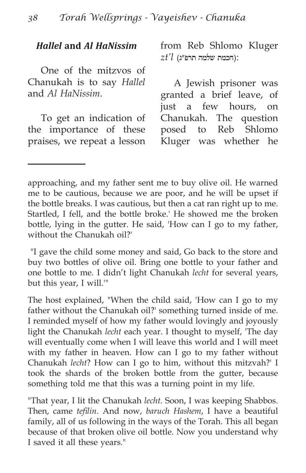#### *Hallel* **and** *Al HaNissim*

One of the mitzvos of Chanukah is to say *Hallel* and *Al HaNissim*.

To get an indication of the importance of these praises, we repeat a lesson from Reb Shlomo Kluger :(חכמת שלמה תרפ״ג) *l'zt*

A Jewish prisoner was granted a brief leave, of just a few hours, on Chanukah. The question posed to Reb Shlomo Kluger was whether he

approaching, and my father sent me to buy olive oil. He warned me to be cautious, because we are poor, and he will be upset if the bottle breaks. I was cautious, but then a cat ran right up to me. Startled, I fell, and the bottle broke.' He showed me the broken bottle, lying in the gutter. He said, 'How can I go to my father, without the Chanukah oil?'

 "I gave the child some money and said, Go back to the store and buy two bottles of olive oil. Bring one bottle to your father and one bottle to me. I didn't light Chanukah *lecht* for several years, but this year, I will.'"

The host explained, "When the child said, 'How can I go to my father without the Chanukah oil?' something turned inside of me. I reminded myself of how my father would lovingly and joyously light the Chanukah *lecht* each year. I thought to myself, 'The day will eventually come when I will leave this world and I will meet with my father in heaven. How can I go to my father without Chanukah *lecht*? How can I go to him, without this mitzvah?' I took the shards of the broken bottle from the gutter, because something told me that this was a turning point in my life.

"That year, I lit the Chanukah *lecht*. Soon, I was keeping Shabbos. Then, came *tefilin*. And now, *baruch Hashem*, I have a beautiful family, all of us following in the ways of the Torah. This all began because of that broken olive oil bottle. Now you understand why I saved it all these years."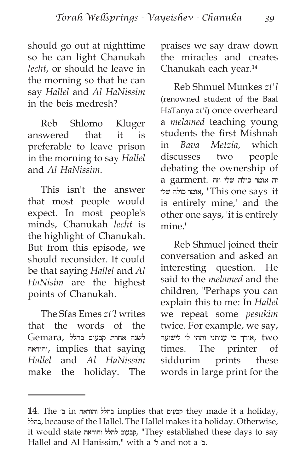should go out at nighttime so he can light Chanukah *lecht*, or should he leave in the morning so that he can say *Hallel* and *Al HaNissim* in the beis medresh?

Reb Shlomo Kluger answered that it is preferable to leave prison in the morning to say *Hallel* and *Al HaNissim*.

This isn't the answer that most people would expect. In most people's minds, Chanukah *lecht* is the highlight of Chanukah. But from this episode, we should reconsider. It could be that saying *Hallel* and *Al HaNisim* are the highest points of Chanukah.

The Sfas Emes *zt'l* writes that the words of the לשנה אחרת קבעום בהלל ,Gemara והודאה, implies that saying *Hallel* and *Al HaNissim* make the holiday. The praises we say draw down the miracles and creates Chanukah each year.14

Reb Shmuel Munkes *zt'l* (renowned student of the Baal HaTanya *zt'l*) once overheard a *melamed* teaching young students the first Mishnah in *Bava Metzia*, which discusses two people debating the ownership of זה אומר כולה שלי וזה .garment a שלי כולה אומר," This one says 'it is entirely mine,' and the other one says, 'it is entirely mine.'

Reb Shmuel joined their conversation and asked an interesting question. He said to the *melamed* and the children, "Perhaps you can explain this to me: In *Hallel* we repeat some *pesukim* twice. For example, we say, two ,אודך כי עניתני ותהי לי לישועה times. The printer of siddurim prints these words in large print for the

**<sup>14</sup>**. The יוהודאה implies that קבעום they made it a holiday, בהלל, because of the Hallel. The Hallel makes it a holiday. Otherwise, it would state והודאה להלל קבעום," They established these days to say Hallel and Al Hanissim," with a ל׳ and not a ב׳.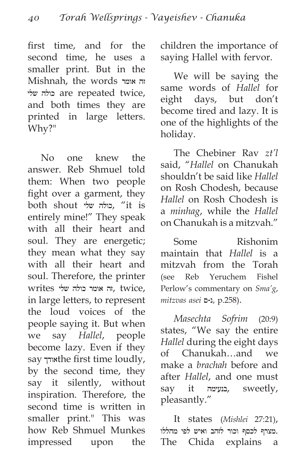first time, and for the second time, he uses a smaller print. But in the Mishnah, the words אומר זה שלי כולה are repeated twice, and both times they are printed in large letters. Why?"

No one knew the answer. Reb Shmuel told them: When two people fight over a garment, they both shout שלי כולה," it is entirely mine!" They speak with all their heart and soul. They are energetic; they mean what they say with all their heart and soul. Therefore, the printer ,twice ,זה אומר כולה שלי writes in large letters, to represent the loud voices of the people saying it. But when we say *Hallel*, people become lazy. Even if they say אודך time loudly, by the second time, they say it silently, without inspiration. Therefore, the second time is written in smaller print." This was how Reb Shmuel Munkes impressed upon the children the importance of saying Hallel with fervor.

We will be saying the same words of *Hallel* for eight days, but don't become tired and lazy. It is one of the highlights of the holiday.

The Chebiner Rav *zt'l* said, "*Hallel* on Chanukah shouldn't be said like *Hallel* on Rosh Chodesh, because *Hallel* on Rosh Chodesh is a *minhag*, while the *Hallel* on Chanukah is a mitzvah."

Some Rishonim maintain that *Hallel* is a mitzvah from the Torah (see Reb Yeruchem Fishel Perlow's commentary on *Sma'g*, *mitzvas asei* ס-נ, p.258).

*Masechta Sofrim* (20:9) states, "We say the entire *Hallel* during the eight days of Chanukah…and we make a *brachah* before and after *Hallel*, and one must say it בנעימה, sweetly, pleasantly."

It states (*Mishlei* 27:21), .מצרף לכסף וכור לזהב ואיש לפי מהללו The Chida explains a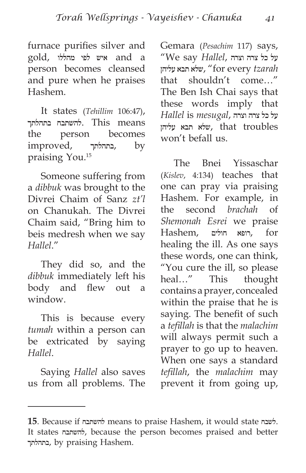furnace purifies silver and a and איש לפי מהללו ,gold person becomes cleansed and pure when he praises Hashem.

It states (*Tehillim* 106:47), להשתבח להשתבח בתהלתך. This means the person becomes improved, בתהלתך, by praising You.15

Someone suffering from a *dibbuk* was brought to the Divrei Chaim of Sanz *zt'l* on Chanukah. The Divrei Chaim said, "Bring him to beis medresh when we say *Hallel*."

They did so, and the *dibbuk* immediately left his body and flew out a window.

This is because every *tumah* within a person can be extricated by saying *Hallel*.

Saying *Hallel* also saves us from all problems. The Gemara (*Pesachim* 117) says, על כל צרה וצרה ,*Hallel* say We" *tzarah* every for ",שלא תבא עליהן that shouldn't come…" The Ben Ish Chai says that these words imply that על כל צרה וצרה ,*mesugal* is *Hallel* troubles that ,שלא תבא עליהן won't befall us.

The Bnei Yissaschar (*Kislev*, 4:134) teaches that one can pray via praising Hashem. For example, in the second *brachah* of *Shemonah Esrei* we praise for ,רופא חולים ,Hashem healing the ill. As one says these words, one can think, "You cure the ill, so please heal…" This thought contains a prayer, concealed within the praise that he is saying. The benefit of such a *tefillah* is that the *malachim* will always permit such a prayer to go up to heaven. When one says a standard *tefillah*, the *malachim* may prevent it from going up,

**<sup>15</sup>**. Because if להשתבח means to praise Hashem, it would state לשבח. It states להשתבח, because the person becomes praised and better בתהלתך, by praising Hashem.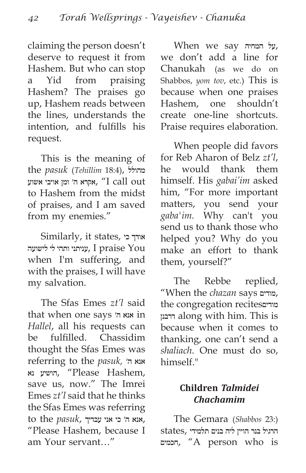claiming the person doesn't deserve to request it from Hashem. But who can stop a Yid from praising Hashem? The praises go up, Hashem reads between the lines, understands the intention, and fulfills his request.

This is the meaning of the *pasuk* (*Tehillim* 18:4), מהולל אקרא ה׳ ומן אויבי אשוע, "I call out to Hashem from the midst of praises, and I am saved from my enemies."

Similarly, it states, כי אודך You praise I ,עניתני ותהי לי לישועה when I'm suffering, and with the praises, I will have my salvation.

The Sfas Emes *zt'l* said that when one says יה אנא in *Hallel*, all his requests can be fulfilled. Chassidim thought the Sfas Emes was referring to the *pasuk,* ה׳ אנא הושיע נא, "Please Hashem, save us, now." The Imrei Emes *zt'l* said that he thinks the Sfas Emes was referring ,אנא ה׳ כי אני עבדיך ,*pasuk* the to "Please Hashem, because I am Your servant…"

When we say המחיה על, we don't add a line for Chanukah (as we do on Shabbos, *yom tov*, etc.) This is because when one praises Hashem, one shouldn't create one-line shortcuts. Praise requires elaboration.

When people did favors for Reb Aharon of Belz *zt'l*, he would thank them himself. His *gabai'im* asked him, "For more important matters, you send your *gaba'im.* Why can't you send us to thank those who helped you? Why do you make an effort to thank them, yourself?"

The Rebbe replied, "When the *chazan* says מודים, the congregation recitesמודים דרבנן along with him. This is because when it comes to thanking, one can't send a *shaliach*. One must do so, himself."

## **Children** *Talmidei Chachamim*

The Gemara (*Shabbos* 23:) הרגיל בנר הויין ליה בנים תלמידי ,states חכמים," A person who is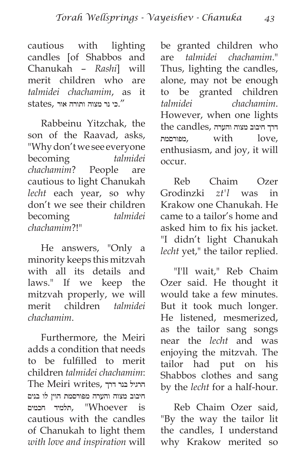cautious with lighting candles [of Shabbos and Chanukah – *Rashi*] will merit children who are *talmidei chachamim*, as it ".כי נר מצוה ותורה אור ,states

Rabbeinu Yitzchak, the son of the Raavad, asks, "Why don't we see everyone becoming *talmidei chachamim*? People are cautious to light Chanukah *lecht* each year, so why don't we see their children becoming *talmidei chachamim*?!"

He answers, "Only a minority keeps this mitzvah with all its details and laws." If we keep the mitzvah properly, we will merit children *talmidei chachamim*.

Furthermore, the Meiri adds a condition that needs to be fulfilled to merit children *talmidei chachamim*: הרגיל בנר דרך ,writes Meiri The חיבוב מצוה והערה מפורסמת הוין לו בנים הלמיד ו־Whoever". תלמיד חכמים cautious with the candles of Chanukah to light them *with love and inspiration* will be granted children who are *talmidei chachamim*." Thus, lighting the candles, alone, may not be enough to be granted children *talmidei chachamim*. However, when one lights דרך חיבוב מצוה והערה ,candles the מפורסמת, with love, enthusiasm, and joy, it will occur.

Reb Chaim Ozer Grodinzki *zt'l* was in Krakow one Chanukah. He came to a tailor's home and asked him to fix his jacket. "I didn't light Chanukah *lecht* yet," the tailor replied.

"I'll wait," Reb Chaim Ozer said. He thought it would take a few minutes. But it took much longer. He listened, mesmerized, as the tailor sang songs near the *lecht* and was enjoying the mitzvah. The tailor had put on his Shabbos clothes and sang by the *lecht* for a half-hour.

Reb Chaim Ozer said, "By the way the tailor lit the candles, I understand why Krakow merited so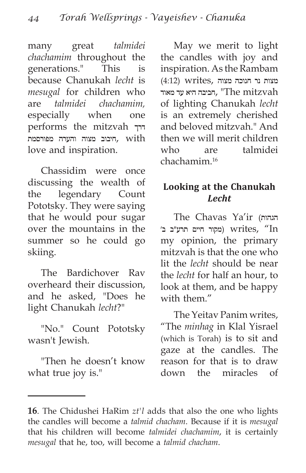many great *talmidei chachamim* throughout the generations." This is because Chanukah *lecht* is *mesugal* for children who are *talmidei chachamim,* especially when one performs the mitzvah דרך היבוב מצוה והערה מפורסמת,  $with$ love and inspiration.

Chassidim were once discussing the wealth of the legendary Count Pototsky. They were saying that he would pour sugar over the mountains in the summer so he could go skiing.

The Bardichover Rav overheard their discussion, and he asked, "Does he light Chanukah *lecht*?"

"No." Count Pototsky wasn't Jewish.

"Then he doesn't know what true joy is."

May we merit to light the candles with joy and inspiration. As the Rambam  $(4:12)$  writes, מצוה נר חנוכה מצוה הביבה היא עד מאוד, "The mitzvah of lighting Chanukah *lecht* is an extremely cherished and beloved mitzvah." And then we will merit children who are talmidei chachamim.16

#### **Looking at the Chanukah**  *Lecht*

The Chavas Ya'ir (הגהות 'מקור חיים תרע״ב ב׳ (מקור חיים מרע״ב ב my opinion, the primary mitzvah is that the one who lit the *lecht* should be near the *lecht* for half an hour, to look at them, and be happy with them."

The Yeitav Panim writes, "The *minhag* in Klal Yisrael (which is Torah) is to sit and gaze at the candles. The reason for that is to draw down the miracles of

**<sup>16</sup>**. The Chidushei HaRim *zt'l* adds that also the one who lights the candles will become a *talmid chacham*. Because if it is *mesugal* that his children will become *talmidei chachamim*, it is certainly *mesugal* that he, too, will become a *talmid chacham*.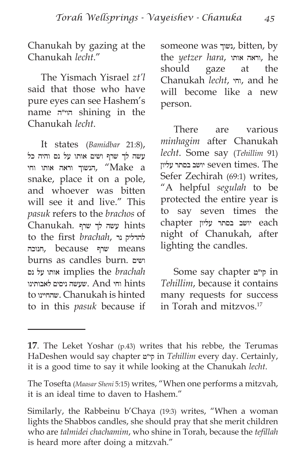Chanukah by gazing at the Chanukah *lecht*."

The Yismach Yisrael *zt'l* said that those who have pure eyes can see Hashem's name הוי״ה shining in the Chanukah *lecht*.

It states (*Bamidbar* 21:8), עשה לך שרף ושים אותו על נס והיה כל יהנשוך וראה הותו החי $\,$  "Make  $\,$ a snake, place it on a pole, and whoever was bitten will see it and live." This *pasuk* refers to the *brachos* of hints עשה לך שרף .Chanukah to the first *brachah*, להדליק נר means שרף because ,חנוכה burns as candles burn. ושים *brachah* the implies אותו על נס hints וחי And .שעשה ניסים לאבותינו to שהחיינו. Chanukah is hinted to in this *pasuk* because if someone was נשוך, bitten, by the *yetzer hara*, אותו וראה, he should gaze at the Chanukah *lecht*, וחי, and he will become like a new person.

There are various *minhagim* after Chanukah *lecht*. Some say (*Tehillim* 91) יושב בסתר עליון seven times. The Sefer Zechirah (69:1) writes, "A helpful *segulah* to be protected the entire year is to say seven times the each יושב בסתר עליון chapter night of Chanukah, after lighting the candles.

Some say chapter קי״ט in *Tehillim*, because it contains many requests for success in Torah and mitzvos.17

**<sup>17</sup>**. The Leket Yoshar (p.43) writes that his rebbe, the Terumas HaDeshen would say chapter קי״ט in *Tehillim* every day. Certainly, it is a good time to say it while looking at the Chanukah *lecht*.

The Tosefta (*Maasar Sheni* 5:15) writes, "When one performs a mitzvah, it is an ideal time to daven to Hashem."

Similarly, the Rabbeinu b'Chaya (19:3) writes, "When a woman lights the Shabbos candles, she should pray that she merit children who are *talmidei chachamim*, who shine in Torah, because the *tefillah* is heard more after doing a mitzvah."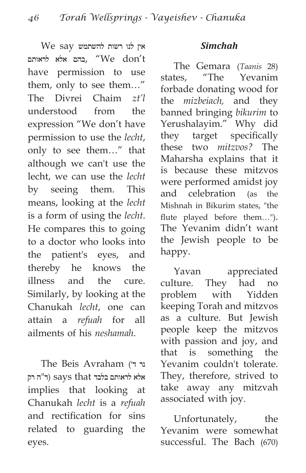$\rm{We}$  say אין לנו רשות להשתמש בהם אלא לראותם, "We don't have permission to use them, only to see them…" The Divrei Chaim *zt'l* understood from the expression "We don't have permission to use the *lecht*, only to see them…" that although we can't use the lecht, we can use the *lecht* by seeing them. This means, looking at the *lecht* is a form of using the *lecht*. He compares this to going to a doctor who looks into the patient's eyes, and thereby he knows the illness and the cure. Similarly, by looking at the Chanukah *lecht*, one can attain a *refuah* for all ailments of his *neshamah*.

The Beis Avraham (ד׳ נר אלא לראותם בלבד says that (ד"ה רק implies that looking at Chanukah *lecht* is a *refuah* and rectification for sins related to guarding the eyes.

#### *Simchah*

The Gemara (*Taanis* 28) states, "The Yevanim forbade donating wood for the *mizbeiach,* and they banned bringing *bikurim* to Yerushalayim." Why did they target specifically these two *mitzvos?* The Maharsha explains that it is because these mitzvos were performed amidst joy and celebration (as the Mishnah in Bikurim states, "the flute played before them…"). The Yevanim didn't want the Jewish people to be happy.

Yavan appreciated culture. They had no problem with Yidden keeping Torah and mitzvos as a culture. But Jewish people keep the mitzvos with passion and joy, and that is something the Yevanim couldn't tolerate. They, therefore, strived to take away any mitzvah associated with joy.

Unfortunately, the Yevanim were somewhat successful. The Bach (670)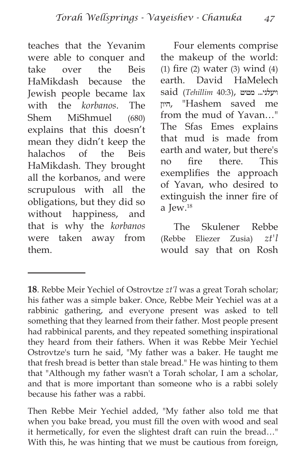teaches that the Yevanim were able to conquer and take over the Beis HaMikdash because the Jewish people became lax with the *korbanos*. The Shem MiShmuel (680) explains that this doesn't mean they didn't keep the halachos of the Beis HaMikdash. They brought all the korbanos, and were scrupulous with all the obligations, but they did so without happiness, and that is why the *korbanos* were taken away from them.

Four elements comprise the makeup of the world: (1) fire (2) water (3) wind (4) earth. David HaMelech ויעלני... מטיט ,(40:3 *Tehillim* (said היון," Hashem saved me from the mud of Yavan…" The Sfas Emes explains that mud is made from earth and water, but there's no fire there. This exemplifies the approach of Yavan, who desired to extinguish the inner fire of a Jew.18

The Skulener Rebbe (Rebbe Eliezer Zusia) *zt'l* would say that on Rosh

**<sup>18</sup>**. Rebbe Meir Yechiel of Ostrovtze *zt'l* was a great Torah scholar; his father was a simple baker. Once, Rebbe Meir Yechiel was at a rabbinic gathering, and everyone present was asked to tell something that they learned from their father. Most people present had rabbinical parents, and they repeated something inspirational they heard from their fathers. When it was Rebbe Meir Yechiel Ostrovtze's turn he said, "My father was a baker. He taught me that fresh bread is better than stale bread." He was hinting to them that "Although my father wasn't a Torah scholar, I am a scholar, and that is more important than someone who is a rabbi solely because his father was a rabbi.

Then Rebbe Meir Yechiel added, "My father also told me that when you bake bread, you must fill the oven with wood and seal it hermetically, for even the slightest draft can ruin the bread…" With this, he was hinting that we must be cautious from foreign,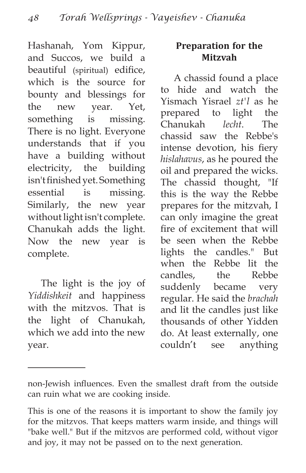Hashanah, Yom Kippur, and Succos, we build a beautiful (spiritual) edifice, which is the source for bounty and blessings for the new year. Yet, something is missing. There is no light. Everyone understands that if you have a building without electricity, the building isn't finished yet. Something essential is missing. Similarly, the new year without light isn't complete. Chanukah adds the light. Now the new year is complete.

The light is the joy of *Yiddishkeit* and happiness with the mitzvos. That is the light of Chanukah, which we add into the new year.

### **Preparation for the Mitzvah**

A chassid found a place to hide and watch the Yismach Yisrael *zt'l* as he prepared to light the Chanukah *lecht*. The chassid saw the Rebbe's intense devotion, his fiery *hislahavus*, as he poured the oil and prepared the wicks. The chassid thought, "If this is the way the Rebbe prepares for the mitzvah, I can only imagine the great fire of excitement that will be seen when the Rebbe lights the candles." But when the Rebbe lit the candles, the Rebbe suddenly became very regular. He said the *brachah* and lit the candles just like thousands of other Yidden do. At least externally, one couldn't see anything

non-Jewish influences. Even the smallest draft from the outside can ruin what we are cooking inside.

This is one of the reasons it is important to show the family joy for the mitzvos. That keeps matters warm inside, and things will "bake well." But if the mitzvos are performed cold, without vigor and joy, it may not be passed on to the next generation.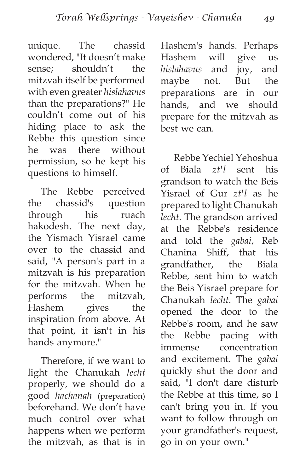unique. The chassid wondered, "It doesn't make sense; shouldn't the mitzvah itself be performed with even greater *hislahavus* than the preparations?" He couldn't come out of his hiding place to ask the Rebbe this question since he was there without permission, so he kept his questions to himself.

The Rebbe perceived the chassid's question through his ruach hakodesh. The next day, the Yismach Yisrael came over to the chassid and said, "A person's part in a mitzvah is his preparation for the mitzvah. When he performs the mitzvah, Hashem gives the inspiration from above. At that point, it isn't in his hands anymore."

Therefore, if we want to light the Chanukah *lecht* properly, we should do a good *hachanah* (preparation) beforehand. We don't have much control over what happens when we perform the mitzvah, as that is in Hashem's hands. Perhaps Hashem will give us *hislahavus* and joy, and maybe not. But the preparations are in our hands, and we should prepare for the mitzvah as best we can.

Rebbe Yechiel Yehoshua of Biala *zt'l* sent his grandson to watch the Beis Yisrael of Gur *zt'l* as he prepared to light Chanukah *lecht*. The grandson arrived at the Rebbe's residence and told the *gabai*, Reb Chanina Shiff, that his grandfather, the Biala Rebbe, sent him to watch the Beis Yisrael prepare for Chanukah *lecht*. The *gabai* opened the door to the Rebbe's room, and he saw the Rebbe pacing with immense concentration and excitement. The *gabai* quickly shut the door and said, "I don't dare disturb the Rebbe at this time, so I can't bring you in. If you want to follow through on your grandfather's request, go in on your own."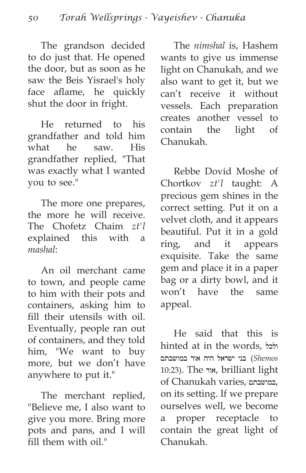The grandson decided to do just that. He opened the door, but as soon as he saw the Beis Yisrael's holy face aflame, he quickly shut the door in fright.

He returned to his grandfather and told him what he saw. His grandfather replied, "That was exactly what I wanted you to see."

The more one prepares, the more he will receive. The Chofetz Chaim *zt'l* explained this with a *mashal*:

An oil merchant came to town, and people came to him with their pots and containers, asking him to fill their utensils with oil. Eventually, people ran out of containers, and they told him, "We want to buy more, but we don't have anywhere to put it."

The merchant replied, "Believe me, I also want to give you more. Bring more pots and pans, and I will fill them with oil."

The *nimshal* is, Hashem wants to give us immense light on Chanukah, and we also want to get it, but we can't receive it without vessels. Each preparation creates another vessel to contain the light of Chanukah.

Rebbe Dovid Moshe of Chortkov *zt'l* taught: A precious gem shines in the correct setting. Put it on a velvet cloth, and it appears beautiful. Put it in a gold ring, and it appears exquisite. Take the same gem and place it in a paper bag or a dirty bowl, and it won't have the same appeal.

He said that this is hinted at in the words, ולכל *Shemos* (בני ישראל היה אור במושבתם 10:23). The אור, brilliant light of Chanukah varies, במושבתם, on its setting. If we prepare ourselves well, we become a proper receptacle to contain the great light of Chanukah.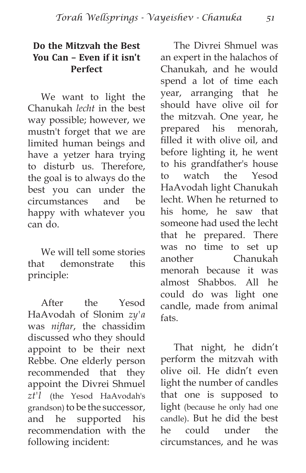#### **Do the Mitzvah the Best You Can – Even if it isn't Perfect**

We want to light the Chanukah *lecht* in the best way possible; however, we mustn't forget that we are limited human beings and have a yetzer hara trying to disturb us. Therefore, the goal is to always do the best you can under the circumstances and be happy with whatever you can do.

We will tell some stories that demonstrate this principle:

After the Yesod HaAvodah of Slonim *zy'a* was *niftar*, the chassidim discussed who they should appoint to be their next Rebbe. One elderly person recommended that they appoint the Divrei Shmuel *zt'l* (the Yesod HaAvodah's grandson) to be the successor, and he supported his recommendation with the following incident:

The Divrei Shmuel was an expert in the halachos of Chanukah, and he would spend a lot of time each year, arranging that he should have olive oil for the mitzvah. One year, he prepared his menorah, filled it with olive oil, and before lighting it, he went to his grandfather's house to watch the Yesod HaAvodah light Chanukah lecht. When he returned to his home, he saw that someone had used the lecht that he prepared. There was no time to set up another Chanukah menorah because it was almost Shabbos. All he could do was light one candle, made from animal fats.

That night, he didn't perform the mitzvah with olive oil. He didn't even light the number of candles that one is supposed to light (because he only had one candle). But he did the best he could under the circumstances, and he was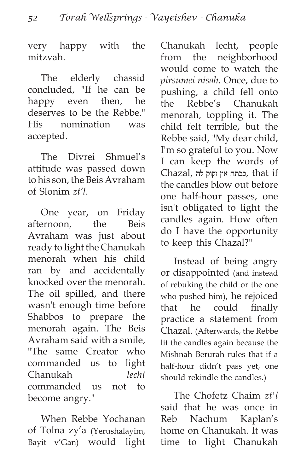very happy with the mitzvah.

The elderly chassid concluded, "If he can be happy even then, he deserves to be the Rebbe." His nomination was accepted.

The Divrei Shmuel's attitude was passed down to his son, the Beis Avraham of Slonim *zt'l*.

One year, on Friday afternoon, the Beis Avraham was just about ready to light the Chanukah menorah when his child ran by and accidentally knocked over the menorah. The oil spilled, and there wasn't enough time before Shabbos to prepare the menorah again. The Beis Avraham said with a smile, "The same Creator who commanded us to light Chanukah *lecht* commanded us not to become angry."

When Rebbe Yochanan of Tolna zy'a (Yerushalayim, Bayit v'Gan) would light Chanukah lecht, people from the neighborhood would come to watch the *pirsumei nisah*. Once, due to pushing, a child fell onto the Rebbe's Chanukah menorah, toppling it. The child felt terrible, but the Rebbe said, "My dear child, I'm so grateful to you. Now I can keep the words of if that ,כבתה אין זקוק לה ,Chazal the candles blow out before one half-hour passes, one isn't obligated to light the candles again. How often do I have the opportunity to keep this Chazal?"

Instead of being angry or disappointed (and instead of rebuking the child or the one who pushed him), he rejoiced that he could finally practice a statement from Chazal. (Afterwards, the Rebbe lit the candles again because the Mishnah Berurah rules that if a half-hour didn't pass yet, one should rekindle the candles.)

The Chofetz Chaim *zt'l* said that he was once in Reb Nachum Kaplan's home on Chanukah. It was time to light Chanukah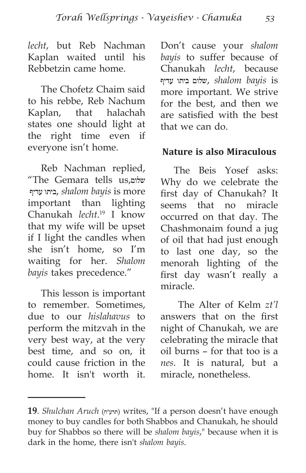*lecht*, but Reb Nachman Kaplan waited until his Rebbetzin came home.

The Chofetz Chaim said to his rebbe, Reb Nachum Kaplan, that halachah states one should light at the right time even if everyone isn't home.

Reb Nachman replied, "The Gemara tells us,שלום עדיף ביתו, *shalom bayis* is more important than lighting Chanukah *lecht*. 19 I know that my wife will be upset if I light the candles when she isn't home, so I'm waiting for her. *Shalom bayis* takes precedence."

This lesson is important to remember. Sometimes, due to our *hislahavus* to perform the mitzvah in the very best way, at the very best time, and so on, it could cause friction in the home. It isn't worth it. Don't cause your *shalom bayis* to suffer because of Chanukah *lecht*, because is *bayis shalom* ,שלום ביתו עדיף more important. We strive for the best, and then we are satisfied with the best that we can do.

#### **Nature is also Miraculous**

The Beis Yosef asks: Why do we celebrate the first day of Chanukah? It seems that no miracle occurred on that day. The Chashmonaim found a jug of oil that had just enough to last one day, so the menorah lighting of the first day wasn't really a miracle.

 The Alter of Kelm *zt'l* answers that on the first night of Chanukah, we are celebrating the miracle that oil burns – for that too is a *nes*. It is natural, but a miracle, nonetheless.

**<sup>19</sup>**. *Shulchan Aruch* (תרע״ח (writes, "If a person doesn't have enough money to buy candles for both Shabbos and Chanukah, he should buy for Shabbos so there will be *shalom bayis*," because when it is dark in the home, there isn't *shalom bayis*.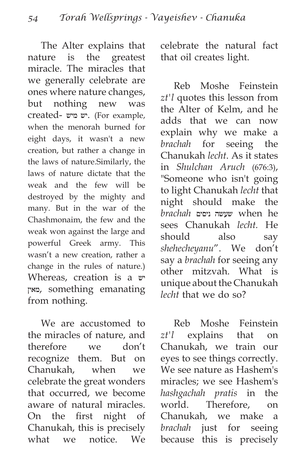The Alter explains that nature is the greatest miracle. The miracles that we generally celebrate are ones where nature changes, but nothing new was created- מיש יש.) For example, when the menorah burned for eight days, it wasn't a new creation, but rather a change in the laws of nature.Similarly, the laws of nature dictate that the weak and the few will be destroyed by the mighty and many. But in the war of the Chashmonaim, the few and the weak won against the large and powerful Greek army. This wasn't a new creation, rather a change in the rules of nature.) Whereas, creation is a יש מאין, something emanating from nothing.

We are accustomed to the miracles of nature, and therefore we don't recognize them. But on Chanukah, when we celebrate the great wonders that occurred, we become aware of natural miracles. On the first night of Chanukah, this is precisely what we notice. We celebrate the natural fact that oil creates light.

Reb Moshe Feinstein *zt'l* quotes this lesson from the Alter of Kelm, and he adds that we can now explain why we make a *brachah* for seeing the Chanukah *lecht*. As it states in *Shulchan Aruch* (676:3), "Someone who isn't going to light Chanukah *lecht* that night should make the *brachah* ניסים שעשה when he sees Chanukah *lecht.* He should also say *shehecheyanu*". We don't say a *brachah* for seeing any other mitzvah. What is unique about the Chanukah *lecht* that we do so?

Reb Moshe Feinstein *zt'l* explains that on Chanukah, we train our eyes to see things correctly. We see nature as Hashem's miracles; we see Hashem's *hashgachah pratis* in the world. Therefore, on Chanukah, we make a *brachah* just for seeing because this is precisely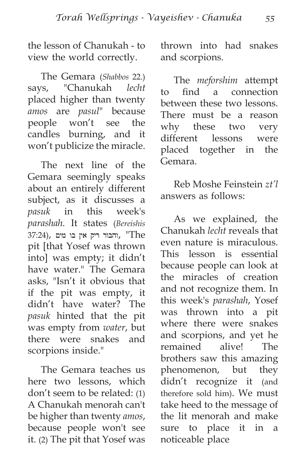the lesson of Chanukah - to view the world correctly.

The Gemara (*Shabbos* 22.) says, "Chanukah *lecht* placed higher than twenty *amos* are *pasul*" because people won't see the candles burning, and it won't publicize the miracle.

The next line of the Gemara seemingly speaks about an entirely different subject, as it discusses a *pasuk* in this week's *parashah.* It states (*Bereishis* הבור ריק אין בו מים, "The pit [that Yosef was thrown into] was empty; it didn't have water." The Gemara asks, "Isn't it obvious that if the pit was empty, it didn't have water? The *pasuk* hinted that the pit was empty from *water*, but there were snakes and scorpions inside."

The Gemara teaches us here two lessons, which don't seem to be related: (1) A Chanukah menorah can't be higher than twenty *amos*, because people won't see it. (2) The pit that Yosef was thrown into had snakes and scorpions.

The *meforshim* attempt to find a connection between these two lessons. There must be a reason why these two very different lessons were placed together in the Gemara.

Reb Moshe Feinstein *zt'l* answers as follows:

As we explained, the Chanukah *lecht* reveals that even nature is miraculous. This lesson is essential because people can look at the miracles of creation and not recognize them. In this week's *parashah*, Yosef was thrown into a pit where there were snakes and scorpions, and yet he remained alive! The brothers saw this amazing phenomenon, but they didn't recognize it (and therefore sold him). We must take heed to the message of the lit menorah and make sure to place it in a noticeable place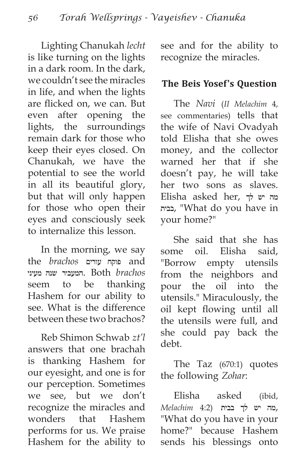Lighting Chanukah *lecht* is like turning on the lights in a dark room. In the dark, we couldn't see the miracles in life, and when the lights are flicked on, we can. But even after opening the lights, the surroundings remain dark for those who keep their eyes closed. On Chanukah, we have the potential to see the world in all its beautiful glory, but that will only happen for those who open their eyes and consciously seek to internalize this lesson.

In the morning, we say the *brachos* עורים פוקח and *brachos* Both .המעביר שנה מעיני seem to be thanking Hashem for our ability to see. What is the difference between these two brachos?

Reb Shimon Schwab *zt'l* answers that one brachah is thanking Hashem for our eyesight, and one is for our perception. Sometimes we see, but we don't recognize the miracles and wonders that Hashem performs for us. We praise Hashem for the ability to see and for the ability to recognize the miracles.

#### **The Beis Yosef's Question**

The *Navi* (*II Melachim* 4, see commentaries) tells that the wife of Navi Ovadyah told Elisha that she owes money, and the collector warned her that if she doesn't pay, he will take her two sons as slaves. מה יש לך ,her asked Elisha בבית," What do you have in your home?"

She said that she has some oil. Elisha said, "Borrow empty utensils from the neighbors and pour the oil into the utensils." Miraculously, the oil kept flowing until all the utensils were full, and she could pay back the debt.

The Taz (670:1) quotes the following *Zohar*:

Elisha asked (ibid, ,מה יש לך בבית (4:2 *Melachim* "What do you have in your home?" because Hashem sends his blessings onto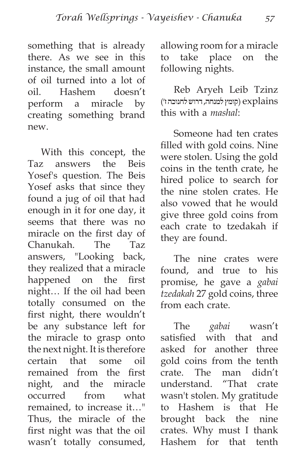something that is already there. As we see in this instance, the small amount of oil turned into a lot of oil. Hashem doesn't perform a miracle by creating something brand new.

With this concept, the Taz answers the Beis Yosef's question. The Beis Yosef asks that since they found a jug of oil that had enough in it for one day, it seems that there was no miracle on the first day of Chanukah. The Taz answers, "Looking back, they realized that a miracle happened on the first night… If the oil had been totally consumed on the first night, there wouldn't be any substance left for the miracle to grasp onto the next night. It is therefore certain that some oil remained from the first night, and the miracle occurred from what remained, to increase it…" Thus, the miracle of the first night was that the oil wasn't totally consumed, allowing room for a miracle to take place on the following nights.

Reb Aryeh Leib Tzinz explains) קומץ למנחה, דרוש לחנוכה ז׳) this with a *mashal*:

Someone had ten crates filled with gold coins. Nine were stolen. Using the gold coins in the tenth crate, he hired police to search for the nine stolen crates. He also vowed that he would give three gold coins from each crate to tzedakah if they are found.

The nine crates were found, and true to his promise, he gave a *gabai tzedakah* 27 gold coins, three from each crate.

The *gabai* wasn't satisfied with that and asked for another three gold coins from the tenth crate. The man didn't understand. "That crate wasn't stolen. My gratitude to Hashem is that He brought back the nine crates. Why must I thank Hashem for that tenth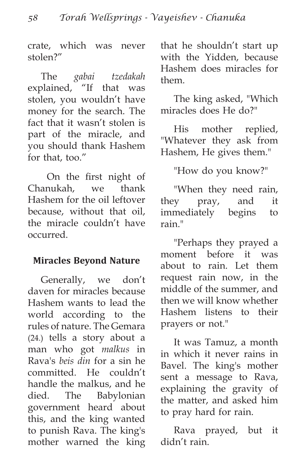crate, which was never stolen?"

The *gabai tzedakah* explained, "If that was stolen, you wouldn't have money for the search. The fact that it wasn't stolen is part of the miracle, and you should thank Hashem for that, too."

 On the first night of Chanukah, we thank Hashem for the oil leftover because, without that oil, the miracle couldn't have occurred.

#### **Miracles Beyond Nature**

Generally, we don't daven for miracles because Hashem wants to lead the world according to the rules of nature. The Gemara (24.) tells a story about a man who got *malkus* in Rava's *beis din* for a sin he committed. He couldn't handle the malkus, and he died. The Babylonian government heard about this, and the king wanted to punish Rava. The king's mother warned the king that he shouldn't start up with the Yidden, because Hashem does miracles for them.

The king asked, "Which miracles does He do?"

His mother replied, "Whatever they ask from Hashem, He gives them."

"How do you know?"

"When they need rain, they pray, and it immediately begins to rain."

"Perhaps they prayed a moment before it was about to rain. Let them request rain now, in the middle of the summer, and then we will know whether Hashem listens to their prayers or not."

It was Tamuz, a month in which it never rains in Bavel. The king's mother sent a message to Rava, explaining the gravity of the matter, and asked him to pray hard for rain.

Rava prayed, but it didn't rain.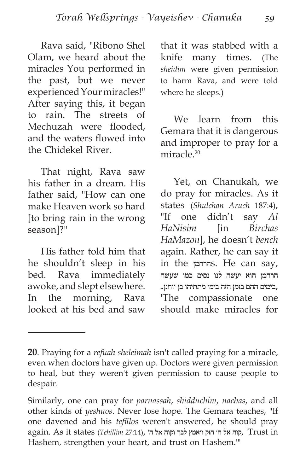Rava said, "Ribono Shel Olam, we heard about the miracles You performed in the past, but we never experienced Your miracles!" After saying this, it began to rain. The streets of Mechuzah were flooded, and the waters flowed into the Chidekel River.

That night, Rava saw his father in a dream. His father said, "How can one make Heaven work so hard [to bring rain in the wrong season]?"

His father told him that he shouldn't sleep in his bed. Rava immediately awoke, and slept elsewhere. In the morning, Rava looked at his bed and saw that it was stabbed with a knife many times. (The *sheidim* were given permission to harm Rava, and were told where he sleeps.)

We learn from this Gemara that it is dangerous and improper to pray for a miracle<sup>20</sup>

Yet, on Chanukah, we do pray for miracles. As it states (*Shulchan Aruch* 187:4), "If one didn't say *Al HaNisim* [in *Birchas HaMazon*], he doesn't *bench* again. Rather, he can say it in the הרחמןs. He can say, הרחמן הוא יעשה לנו נסים כמו שעשה ,בימים ההם בזמן הזה בימי מתתיהו בן יוחנן.. 'The compassionate one should make miracles for

**<sup>20</sup>**. Praying for a *refuah sheleimah* isn't called praying for a miracle, even when doctors have given up. Doctors were given permission to heal, but they weren't given permission to cause people to despair.

Similarly, one can pray for *parnassah*, *shidduchim*, *nachas*, and all other kinds of *yeshuos*. Never lose hope. The Gemara teaches, "If one davened and his *tefillos* weren't answered, he should pray again. As it states (Tehillim 27:14), קוה אל ה׳ הזק ויאמץ לבך וקוה אל ה׳ ,<sup>'</sup>Trust in Hashem, strengthen your heart, and trust on Hashem.'"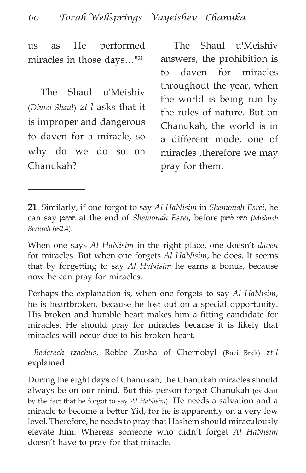us as He performed miracles in those days…"21

The Shaul u'Meishiv (*Divrei Shaul*) *zt'l* asks that it is improper and dangerous to daven for a miracle, so why do we do so on Chanukah?

The Shaul u'Meishiv answers, the prohibition is to daven for miracles throughout the year, when the world is being run by the rules of nature. But on Chanukah, the world is in a different mode, one of miracles ,therefore we may pray for them.

**21**. Similarly, if one forgot to say *Al HaNisim* in *Shemonah Esrei*, he can say הרחמן at the end of *Shemonah Esrei*, before לרצון ויהיו) *Mishnah Berurah* 682:4).

When one says *Al HaNisim* in the right place, one doesn't *daven* for miracles. But when one forgets *Al HaNisim*, he does. It seems that by forgetting to say *Al HaNisim* he earns a bonus, because now he can pray for miracles.

Perhaps the explanation is, when one forgets to say *Al HaNisim*, he is heartbroken, because he lost out on a special opportunity. His broken and humble heart makes him a fitting candidate for miracles. He should pray for miracles because it is likely that miracles will occur due to his broken heart.

*Bederech tzachus*, Rebbe Zusha of Chernobyl (Bnei Brak) *zt'l* explained:

During the eight days of Chanukah, the Chanukah miracles should always be on our mind. But this person forgot Chanukah (evident by the fact that he forgot to say *Al HaNisim*). He needs a salvation and a miracle to become a better Yid, for he is apparently on a very low level. Therefore, he needs to pray that Hashem should miraculously elevate him. Whereas someone who didn't forget *Al HaNisim* doesn't have to pray for that miracle.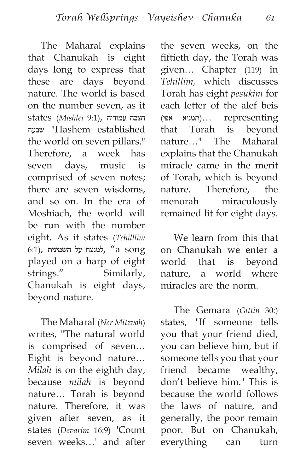The Maharal explains that Chanukah is eight days long to express that these are days beyond nature. The world is based on the number seven, as it חצבה עמודיה ,(9:1 *Mishlei* (states שבעה" Hashem established the world on seven pillars." Therefore, a week has seven days, music is comprised of seven notes; there are seven wisdoms, and so on. In the era of Moshiach, the world will be run with the number eight. As it states (*Tehilllim*  $(6:1)$ , למנצח על השמינית  $(4)$  song played on a harp of eight strings." Similarly, Chanukah is eight days, beyond nature.

The Maharal (*Ner Mitzvah*) writes, "The natural world is comprised of seven… Eight is beyond nature… *Milah* is on the eighth day, because *milah* is beyond nature… Torah is beyond nature. Therefore, it was given after seven, as it states (*Devarim* 16:9) 'Count seven weeks…' and after the seven weeks, on the fiftieth day, the Torah was given… Chapter (119) in *Tehillim,* which discusses Torah has eight *pesukim* for each letter of the alef beis representing)… תמניא אפי) that Torah is beyond nature…" The Maharal explains that the Chanukah miracle came in the merit of Torah, which is beyond nature. Therefore, the menorah miraculously remained lit for eight days.

We learn from this that on Chanukah we enter a world that is beyond nature, a world where miracles are the norm.

The Gemara (*Gittin* 30:) states, "If someone tells you that your friend died, you can believe him, but if someone tells you that your friend became wealthy, don't believe him." This is because the world follows the laws of nature, and generally, the poor remain poor. But on Chanukah, everything can turn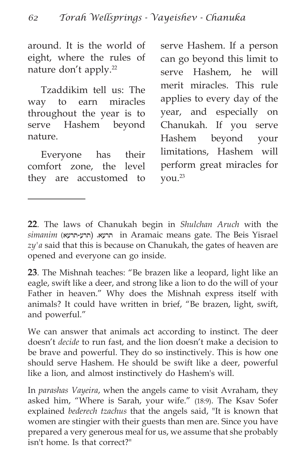around. It is the world of eight, where the rules of nature don't apply.22

Tzaddikim tell us: The way to earn miracles throughout the year is to serve Hashem beyond nature.

Everyone has their comfort zone, the level they are accustomed to serve Hashem. If a person can go beyond this limit to serve Hashem, he will merit miracles. This rule applies to every day of the year, and especially on Chanukah. If you serve Hashem beyond your limitations, Hashem will perform great miracles for you.23

**22**. The laws of Chanukah begin in *Shulchan Aruch* with the  $s$ imanim (תרע-תרעא) הרעא. (תרע-תרע *zy'a* said that this is because on Chanukah, the gates of heaven are opened and everyone can go inside.

**23**. The Mishnah teaches: "Be brazen like a leopard, light like an eagle, swift like a deer, and strong like a lion to do the will of your Father in heaven." Why does the Mishnah express itself with animals? It could have written in brief, "Be brazen, light, swift, and powerful."

We can answer that animals act according to instinct. The deer doesn't *decide* to run fast, and the lion doesn't make a decision to be brave and powerful. They do so instinctively. This is how one should serve Hashem. He should be swift like a deer, powerful like a lion, and almost instinctively do Hashem's will.

In *parashas Vayeira*, when the angels came to visit Avraham, they asked him, "Where is Sarah, your wife." (18:9). The Ksav Sofer explained *bederech tzachus* that the angels said, "It is known that women are stingier with their guests than men are. Since you have prepared a very generous meal for us, we assume that she probably isn't home. Is that correct?"